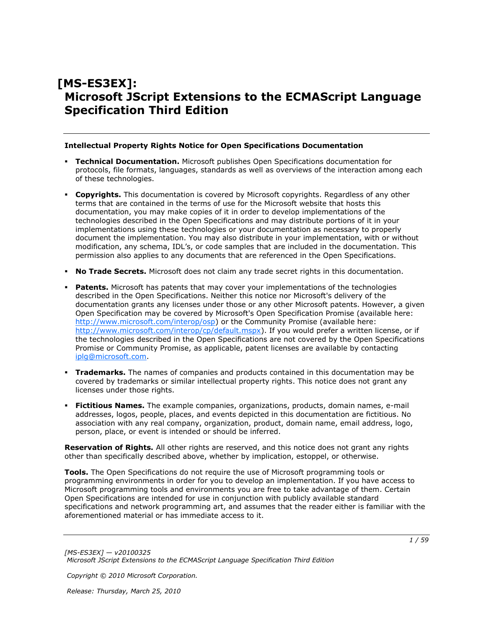# **[MS-ES3EX]: Microsoft JScript Extensions to the ECMAScript Language Specification Third Edition**

#### **Intellectual Property Rights Notice for Open Specifications Documentation**

- **Technical Documentation.** Microsoft publishes Open Specifications documentation for protocols, file formats, languages, standards as well as overviews of the interaction among each of these technologies.
- **Copyrights.** This documentation is covered by Microsoft copyrights. Regardless of any other terms that are contained in the terms of use for the Microsoft website that hosts this documentation, you may make copies of it in order to develop implementations of the technologies described in the Open Specifications and may distribute portions of it in your implementations using these technologies or your documentation as necessary to properly document the implementation. You may also distribute in your implementation, with or without modification, any schema, IDL's, or code samples that are included in the documentation. This permission also applies to any documents that are referenced in the Open Specifications.
- **No Trade Secrets.** Microsoft does not claim any trade secret rights in this documentation.
- **Patents.** Microsoft has patents that may cover your implementations of the technologies described in the Open Specifications. Neither this notice nor Microsoft's delivery of the documentation grants any licenses under those or any other Microsoft patents. However, a given Open Specification may be covered by Microsoft's Open Specification Promise (available here: [http://www.microsoft.com/interop/osp\)](http://go.microsoft.com/fwlink/?LinkId=114384) or the Community Promise (available here: [http://www.microsoft.com/interop/cp/default.mspx\)](http://www.microsoft.com/interop/cp/default.mspx). If you would prefer a written license, or if the technologies described in the Open Specifications are not covered by the Open Specifications Promise or Community Promise, as applicable, patent licenses are available by contacting [iplg@microsoft.com.](mailto:iplg@microsoft.com)
- **Trademarks.** The names of companies and products contained in this documentation may be covered by trademarks or similar intellectual property rights. This notice does not grant any licenses under those rights.
- **Fictitious Names.** The example companies, organizations, products, domain names, e-mail addresses, logos, people, places, and events depicted in this documentation are fictitious. No association with any real company, organization, product, domain name, email address, logo, person, place, or event is intended or should be inferred.

**Reservation of Rights.** All other rights are reserved, and this notice does not grant any rights other than specifically described above, whether by implication, estoppel, or otherwise.

**Tools.** The Open Specifications do not require the use of Microsoft programming tools or programming environments in order for you to develop an implementation. If you have access to Microsoft programming tools and environments you are free to take advantage of them. Certain Open Specifications are intended for use in conjunction with publicly available standard specifications and network programming art, and assumes that the reader either is familiar with the aforementioned material or has immediate access to it.

*Copyright © 2010 Microsoft Corporation.*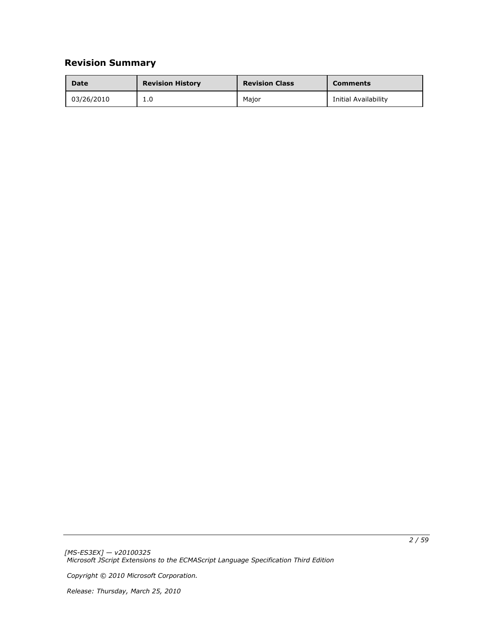# **Revision Summary**

| Date       | <b>Revision History</b> | <b>Revision Class</b> | <b>Comments</b>      |
|------------|-------------------------|-----------------------|----------------------|
| 03/26/2010 | 1.0                     | Maior                 | Initial Availability |

*[MS-ES3EX] — v20100325 Microsoft JScript Extensions to the ECMAScript Language Specification Third Edition* 

*Copyright © 2010 Microsoft Corporation.*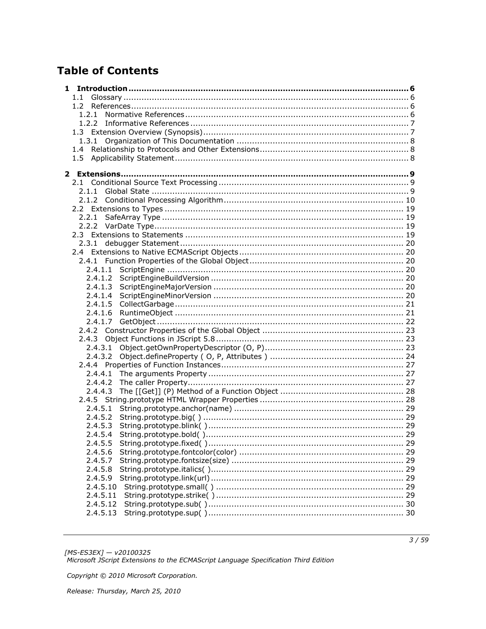# **Table of Contents**

| $1.1 -$            |  |
|--------------------|--|
|                    |  |
|                    |  |
|                    |  |
|                    |  |
|                    |  |
| $1.4^{\circ}$      |  |
| 1.5                |  |
|                    |  |
|                    |  |
|                    |  |
|                    |  |
|                    |  |
|                    |  |
|                    |  |
|                    |  |
|                    |  |
|                    |  |
|                    |  |
|                    |  |
| 2.4.1.1            |  |
|                    |  |
| 2.4.1.4            |  |
| 2.4.1.5            |  |
|                    |  |
| 2.4.1.6<br>2.4.1.7 |  |
|                    |  |
|                    |  |
|                    |  |
|                    |  |
|                    |  |
|                    |  |
|                    |  |
| 2.4.4.3            |  |
|                    |  |
| 2.4.5.1            |  |
| 2.4.5.2            |  |
| 2.4.5.3            |  |
| 2.4.5.4            |  |
| 2.4.5.5            |  |
| 2.4.5.6            |  |
| 2.4.5.7            |  |
| 2.4.5.8            |  |
| 2.4.5.9            |  |
| 2.4.5.10           |  |
| 2.4.5.11           |  |
| 2.4.5.12           |  |
| 2.4.5.13           |  |
|                    |  |

[MS-ES3EX] — v20100325<br>Microsoft JScript Extensions to the ECMAScript Language Specification Third Edition

Copyright © 2010 Microsoft Corporation.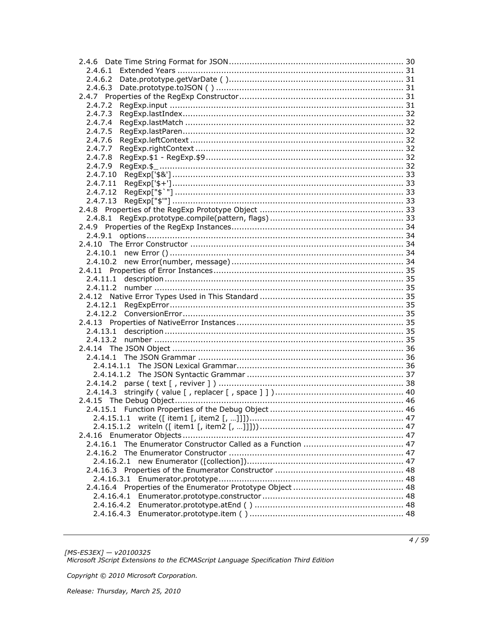| 2.4.6.3    |  |
|------------|--|
|            |  |
| 2.4.7.2    |  |
| 2.4.7.3    |  |
| 2.4.7.4    |  |
| 2.4.7.5    |  |
| 2.4.7.6    |  |
| 2.4.7.7    |  |
| 2.4.7.8    |  |
| 2.4.7.9    |  |
|            |  |
|            |  |
|            |  |
| 2.4.7.13   |  |
|            |  |
| 2.4.8.1    |  |
|            |  |
| 2.4.9.1    |  |
|            |  |
|            |  |
|            |  |
|            |  |
|            |  |
|            |  |
|            |  |
|            |  |
|            |  |
|            |  |
|            |  |
|            |  |
|            |  |
|            |  |
|            |  |
|            |  |
|            |  |
|            |  |
| 2.4.14.3   |  |
|            |  |
|            |  |
|            |  |
| 2.4.15.1.2 |  |
|            |  |
| 2.4.16.1   |  |
| 2.4.16.2   |  |
| 2.4.16.2.1 |  |
|            |  |
|            |  |
|            |  |
|            |  |
| 2.4.16.4.2 |  |
|            |  |
|            |  |

[MS-ES3EX] — v20100325<br>Microsoft JScript Extensions to the ECMAScript Language Specification Third Edition

Copyright © 2010 Microsoft Corporation.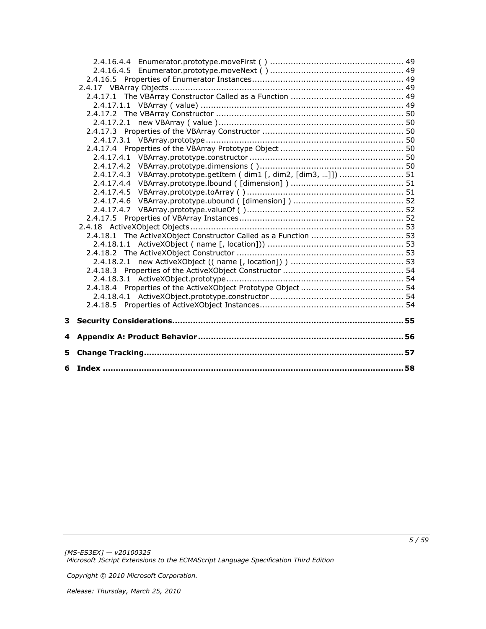|   | 2.4.17.4.3 VBArray.prototype.getItem ( dim1 [, dim2, [dim3, ]])  51 |  |
|---|---------------------------------------------------------------------|--|
|   |                                                                     |  |
|   |                                                                     |  |
|   |                                                                     |  |
|   |                                                                     |  |
|   |                                                                     |  |
|   |                                                                     |  |
|   |                                                                     |  |
|   |                                                                     |  |
|   |                                                                     |  |
|   |                                                                     |  |
|   |                                                                     |  |
|   |                                                                     |  |
|   |                                                                     |  |
|   |                                                                     |  |
|   |                                                                     |  |
|   |                                                                     |  |
| 4 |                                                                     |  |
| 5 |                                                                     |  |
|   |                                                                     |  |
|   |                                                                     |  |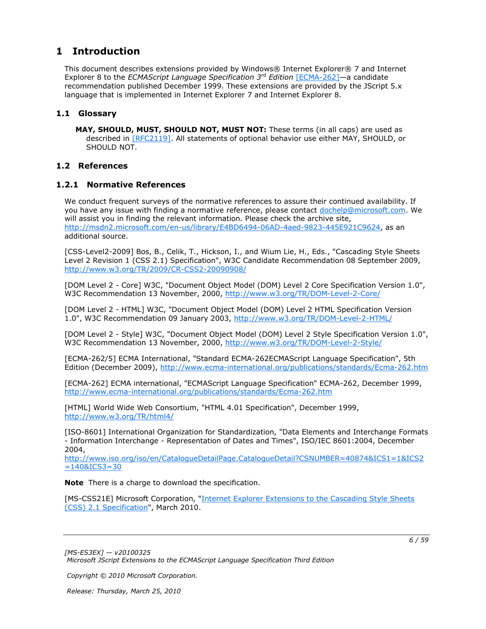## <span id="page-5-0"></span>**1 Introduction**

<span id="page-5-5"></span>This document describes extensions provided by Windows® Internet Explorer® 7 and Internet Explorer 8 to the *ECMAScript Language Specification 3*rd *Edition* [\[ECMA-262\]](http://go.microsoft.com/fwlink/?LinkId=153655)—a candidate recommendation published December 1999. These extensions are provided by the JScript 5.x language that is implemented in Internet Explorer 7 and Internet Explorer 8.

## <span id="page-5-1"></span>**1.1 Glossary**

<span id="page-5-6"></span><span id="page-5-4"></span>**MAY, SHOULD, MUST, SHOULD NOT, MUST NOT:** These terms (in all caps) are used as described in [\[RFC2119\].](http://go.microsoft.com/fwlink/?LinkId=90317) All statements of optional behavior use either MAY, SHOULD, or SHOULD NOT.

## <span id="page-5-2"></span>**1.2 References**

## <span id="page-5-3"></span>**1.2.1 Normative References**

We conduct frequent surveys of the normative references to assure their continued availability. If you have any issue with finding a normative reference, please contact [dochelp@microsoft.com.](mailto:dochelp@microsoft.com) We will assist you in finding the relevant information. Please check the archive site, [http://msdn2.microsoft.com/en-us/library/E4BD6494-06AD-4aed-9823-445E921C9624,](http://msdn2.microsoft.com/en-us/library/E4BD6494-06AD-4aed-9823-445E921C9624) as an additional source.

[CSS-Level2-2009] Bos, B., Celik, T., Hickson, I., and Wium Lie, H., Eds., "Cascading Style Sheets Level 2 Revision 1 (CSS 2.1) Specification", W3C Candidate Recommendation 08 September 2009, [http://www.w3.org/TR/2009/CR-CSS2-20090908/](http://go.microsoft.com/fwlink/?LinkId=182880)

[DOM Level 2 - Core] W3C, "Document Object Model (DOM) Level 2 Core Specification Version 1.0", W3C Recommendation 13 November, 2000, [http://www.w3.org/TR/DOM-Level-2-Core/](http://go.microsoft.com/fwlink/?LinkId=182703)

[DOM Level 2 - HTML] W3C, "Document Object Model (DOM) Level 2 HTML Specification Version 1.0", W3C Recommendation 09 January 2003, [http://www.w3.org/TR/DOM-Level-2-HTML/](http://go.microsoft.com/fwlink/?LinkId=182708)

[DOM Level 2 - Style] W3C, "Document Object Model (DOM) Level 2 Style Specification Version 1.0", W3C Recommendation 13 November, 2000, [http://www.w3.org/TR/DOM-Level-2-Style/](http://go.microsoft.com/fwlink/?LinkId=182710)

[ECMA-262/5] ECMA International, "Standard ECMA-262ECMAScript Language Specification", 5th Edition (December 2009), [http://www.ecma-international.org/publications/standards/Ecma-262.htm](http://go.microsoft.com/fwlink/?LinkId=185963)

[ECMA-262] ECMA international, "ECMAScript Language Specification" ECMA-262, December 1999, [http://www.ecma-international.org/publications/standards/Ecma-262.htm](http://go.microsoft.com/fwlink/?LinkId=115082)

[HTML] World Wide Web Consortium, "HTML 4.01 Specification", December 1999, [http://www.w3.org/TR/html4/](http://go.microsoft.com/fwlink/?LinkId=89880)

[ISO-8601] International Organization for Standardization, "Data Elements and Interchange Formats - Information Interchange - Representation of Dates and Times", ISO/IEC 8601:2004, December 2004,

[http://www.iso.org/iso/en/CatalogueDetailPage.CatalogueDetail?CSNUMBER=40874&ICS1=1&ICS2](http://go.microsoft.com/fwlink/?LinkId=89920)  $=140&1C$ CS3 $=30$ 

**Note** There is a charge to download the specification.

[MS-CSS21E] Microsoft Corporation, "Internet Explorer Extensions to the Cascading Style Sheets [\(CSS\) 2.1 Specification"](%5bMS-CSS21E%5d.pdf), March 2010.

*[MS-ES3EX] — v20100325 Microsoft JScript Extensions to the ECMAScript Language Specification Third Edition* 

*Copyright © 2010 Microsoft Corporation.*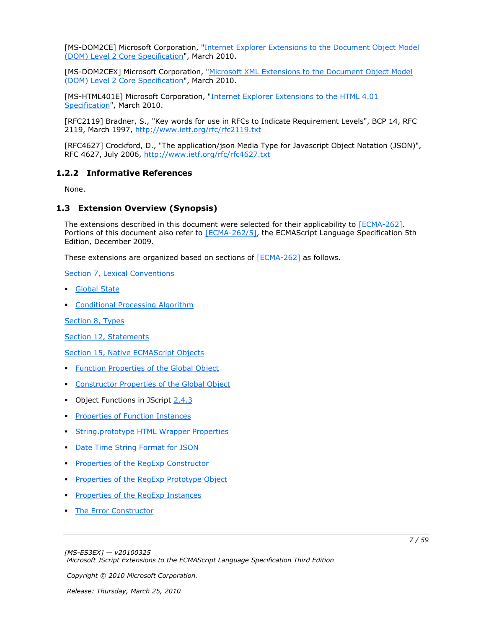[MS-DOM2CE] Microsoft Corporation, "Internet Explorer Extensions to the Document Object Model [\(DOM\) Level 2 Core Specification"](%5bMS-DOM2CE%5d.pdf), March 2010.

[MS-DOM2CEX] Microsoft Corporation, "Microsoft XML Extensions to the Document Object Model [\(DOM\) Level 2 Core Specification"](%5bMS-DOM2CEX%5d.pdf), March 2010.

[MS-HTML401E] Microsoft Corporation, "Internet Explorer Extensions to the HTML 4.01 [Specification"](%5bMS-HTML401E%5d.pdf), March 2010.

[RFC2119] Bradner, S., "Key words for use in RFCs to Indicate Requirement Levels", BCP 14, RFC 2119, March 1997, [http://www.ietf.org/rfc/rfc2119.txt](http://go.microsoft.com/fwlink/?LinkId=90317)

[RFC4627] Crockford, D., "The application/json Media Type for Javascript Object Notation (JSON)", RFC 4627, July 2006, [http://www.ietf.org/rfc/rfc4627.txt](http://go.microsoft.com/fwlink/?LinkId=140879)

## <span id="page-6-0"></span>**1.2.2 Informative References**

<span id="page-6-3"></span><span id="page-6-2"></span>None.

### <span id="page-6-1"></span>**1.3 Extension Overview (Synopsis)**

The extensions described in this document were selected for their applicability to [\[ECMA-262\].](http://go.microsoft.com/fwlink/?LinkId=153655) Portions of this document also refer to [\[ECMA-262/5\],](http://go.microsoft.com/fwlink/?LinkId=185963) the ECMAScript Language Specification 5th Edition, December 2009.

These extensions are organized based on sections of [\[ECMA-262\]](http://go.microsoft.com/fwlink/?LinkId=153655) as follows.

[Section 7, Lexical Conventions](#page-8-3)

- **[Global State](#page-8-4)**
- **[Conditional Processing Algorithm](#page-9-1)**

[Section 8, Types](#page-18-4)

[Section 12, Statements](#page-18-5)

[Section 15, Native ECMAScript Objects](#page-19-7)

- **[Function Properties of the Global Object](#page-19-8)**
- **[Constructor Properties of the Global Object](#page-22-3)**
- Object Functions in JScript [2.4.3](#page-22-4)
- **[Properties of Function Instances](#page-26-3)**
- **[String.prototype HTML Wrapper Properties](#page-27-2)**
- **[Date Time String Format for JSON](#page-29-3)**
- **[Properties of the RegExp Constructor](#page-30-5)**
- **[Properties of the RegExp Prototype Object](#page-32-6)**
- **[Properties of the RegExp Instances](#page-33-5)**
- **[The Error Constructor](#page-33-6)**

*Copyright © 2010 Microsoft Corporation.*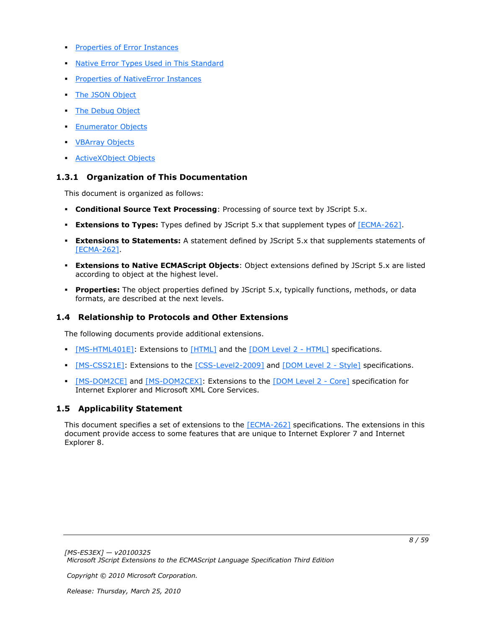- **[Properties of Error Instances](#page-34-9)**
- **[Native Error Types Used in This Standard](#page-34-10)**
- **[Properties of NativeError Instances](#page-34-11)**
- **[The JSON Object](#page-35-3)**
- **[The Debug Object](#page-45-2)**
- **[Enumerator Objects](#page-46-6)**
- **[VBArray Objects](#page-48-6)**
- **[ActiveXObject Objects](#page-52-5)**

## <span id="page-7-0"></span>**1.3.1 Organization of This Documentation**

This document is organized as follows:

- **Conditional Source Text Processing: Processing of source text by JScript 5.x.**
- **Extensions to Types:** Types defined by JScript 5.x that supplement types of [\[ECMA-262\].](http://go.microsoft.com/fwlink/?LinkId=153655)
- **Extensions to Statements:** A statement defined by JScript 5.x that supplements statements of [\[ECMA-262\].](http://go.microsoft.com/fwlink/?LinkId=153655)
- **Extensions to Native ECMAScript Objects**: Object extensions defined by JScript 5.x are listed according to object at the highest level.
- **Properties:** The object properties defined by JScript 5.x, typically functions, methods, or data formats, are described at the next levels.

## <span id="page-7-1"></span>**1.4 Relationship to Protocols and Other Extensions**

The following documents provide additional extensions.

- **[\[MS-HTML401E\]:](%5bMS-HTML401E%5d.pdf)** Extensions to [\[HTML\]](http://go.microsoft.com/fwlink/?LinkId=89880) and the [\[DOM Level 2 -](http://go.microsoft.com/fwlink/?LinkId=182708) HTML] specifications.
- [\[MS-CSS21E\]:](%5bMS-CSS21E%5d.pdf) Extensions to the [\[CSS-Level2-2009\]](http://go.microsoft.com/fwlink/?LinkId=182880) and [\[DOM Level 2 -](http://go.microsoft.com/fwlink/?LinkId=182710) Style] specifications.
- [\[MS-DOM2CE\]](%5bMS-DOM2CE%5d.pdf) and [\[MS-DOM2CEX\]:](%5bMS-DOM2CEX%5d.pdf) Extensions to the [\[DOM Level 2 -](http://go.microsoft.com/fwlink/?LinkId=182703) Core] specification for Internet Explorer and Microsoft XML Core Services.

## <span id="page-7-2"></span>**1.5 Applicability Statement**

<span id="page-7-3"></span>This document specifies a set of extensions to the [\[ECMA-262\]](http://go.microsoft.com/fwlink/?LinkId=153655) specifications. The extensions in this document provide access to some features that are unique to Internet Explorer 7 and Internet Explorer 8.

*Copyright © 2010 Microsoft Corporation.*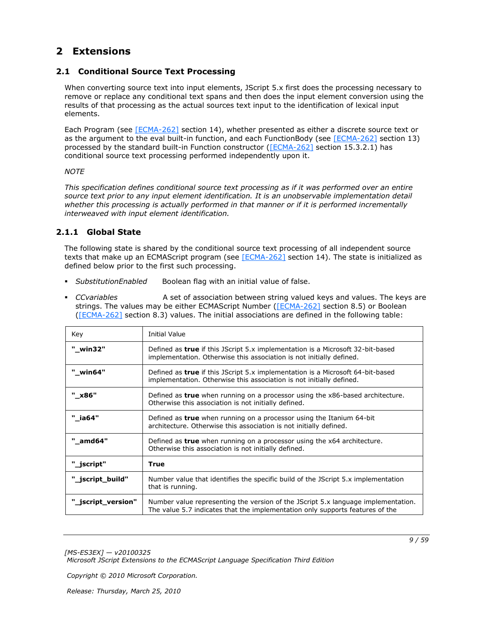## <span id="page-8-0"></span>**2 Extensions**

## <span id="page-8-1"></span>**2.1 Conditional Source Text Processing**

<span id="page-8-3"></span>When converting source text into input elements, JScript 5.x first does the processing necessary to remove or replace any conditional text spans and then does the input element conversion using the results of that processing as the actual sources text input to the identification of lexical input elements.

Each Program (see [\[ECMA-262\]](http://go.microsoft.com/fwlink/?LinkId=153655) section 14), whether presented as either a discrete source text or as the argument to the eval built-in function, and each FunctionBody (see [\[ECMA-262\]](http://go.microsoft.com/fwlink/?LinkId=153655) section 13) processed by the standard built-in Function constructor [\(\[ECMA-262\]](http://go.microsoft.com/fwlink/?LinkId=153655) section 15.3.2.1) has conditional source text processing performed independently upon it.

### *NOTE*

*This specification defines conditional source text processing as if it was performed over an entire source text prior to any input element identification. It is an unobservable implementation detail whether this processing is actually performed in that manner or if it is performed incrementally interweaved with input element identification.*

## <span id="page-8-2"></span>**2.1.1 Global State**

<span id="page-8-4"></span>The following state is shared by the conditional source text processing of all independent source texts that make up an ECMAScript program (see [\[ECMA-262\]](http://go.microsoft.com/fwlink/?LinkId=153655) section 14). The state is initialized as defined below prior to the first such processing.

- *SubstitutionEnabled* Boolean flag with an initial value of false.
- *CCvariables* A set of association between string valued keys and values. The keys are strings. The values may be either ECMAScript Number [\(\[ECMA-262\]](http://go.microsoft.com/fwlink/?LinkId=153655) section 8.5) or Boolean [\(\[ECMA-262\]](http://go.microsoft.com/fwlink/?LinkId=153655) section 8.3) values. The initial associations are defined in the following table:

| Key                | <b>Initial Value</b>                                                                                                                                               |  |
|--------------------|--------------------------------------------------------------------------------------------------------------------------------------------------------------------|--|
| "_win32"           | Defined as <b>true</b> if this JScript 5.x implementation is a Microsoft 32-bit-based<br>implementation. Otherwise this association is not initially defined.      |  |
| " win64"           | Defined as true if this JScript 5.x implementation is a Microsoft 64-bit-based<br>implementation. Otherwise this association is not initially defined.             |  |
| "_x86"             | Defined as <b>true</b> when running on a processor using the x86-based architecture.<br>Otherwise this association is not initially defined.                       |  |
| " ia64"            | Defined as true when running on a processor using the Itanium 64-bit<br>architecture. Otherwise this association is not initially defined.                         |  |
| " amd64"           | Defined as <b>true</b> when running on a processor using the x64 architecture.<br>Otherwise this association is not initially defined.                             |  |
| "_jscript"         | True                                                                                                                                                               |  |
| "_jscript_build"   | Number value that identifies the specific build of the JScript 5.x implementation<br>that is running.                                                              |  |
| "_jscript_version" | Number value representing the version of the JScript 5.x language implementation.<br>The value 5.7 indicates that the implementation only supports features of the |  |

*[MS-ES3EX] — v20100325 Microsoft JScript Extensions to the ECMAScript Language Specification Third Edition* 

*Copyright © 2010 Microsoft Corporation.*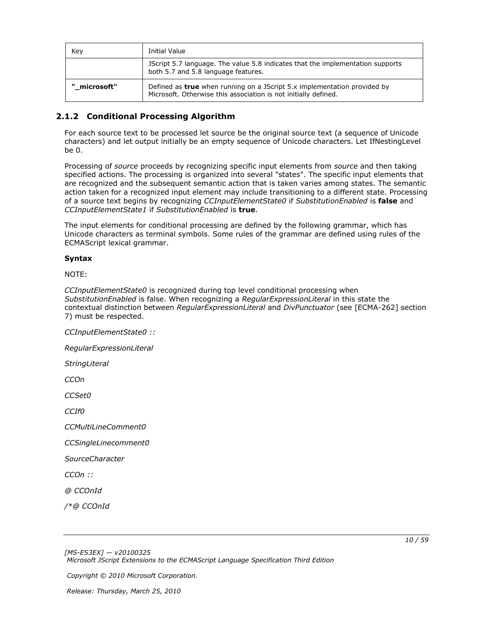| Key          | Initial Value                                                                                                                                      |  |
|--------------|----------------------------------------------------------------------------------------------------------------------------------------------------|--|
|              | JScript 5.7 language. The value 5.8 indicates that the implementation supports<br>both 5.7 and 5.8 language features.                              |  |
| " microsoft" | Defined as <b>true</b> when running on a JScript 5.x implementation provided by<br>Microsoft. Otherwise this association is not initially defined. |  |

## <span id="page-9-0"></span>**2.1.2 Conditional Processing Algorithm**

<span id="page-9-1"></span>For each source text to be processed let source be the original source text (a sequence of Unicode characters) and let output initially be an empty sequence of Unicode characters. Let IfNestingLevel be 0.

Processing of *source* proceeds by recognizing specific input elements from *source* and then taking specified actions. The processing is organized into several "states". The specific input elements that are recognized and the subsequent semantic action that is taken varies among states. The semantic action taken for a recognized input element may include transitioning to a different state. Processing of a source text begins by recognizing *CCInputElementState0* if *SubstitutionEnabled* is **false** and *CCInputElementState1* if *SubstitutionEnabled* is **true**.

The input elements for conditional processing are defined by the following grammar, which has Unicode characters as terminal symbols. Some rules of the grammar are defined using rules of the ECMAScript lexical grammar.

#### **Syntax**

NOTE:

*CCInputElementState0* is recognized during top level conditional processing when *SubstitutionEnabled* is false. When recognizing a *RegularExpressionLiteral* in this state the contextual distinction between *RegularExpressionLiteral* and *DivPunctuator* (see [ECMA-262] section 7) must be respected.

*CCInputElementState0 ::*

*RegularExpressionLiteral*

*StringLiteral*

*CCOn*

*CCSet0*

*CCIf0*

*CCMultiLineComment0*

*CCSingleLinecomment0*

*SourceCharacter*

*CCOn ::*

*@ CCOnId*

*/\*@ CCOnId*

*10 / 59*

*[MS-ES3EX] — v20100325 Microsoft JScript Extensions to the ECMAScript Language Specification Third Edition* 

*Copyright © 2010 Microsoft Corporation.*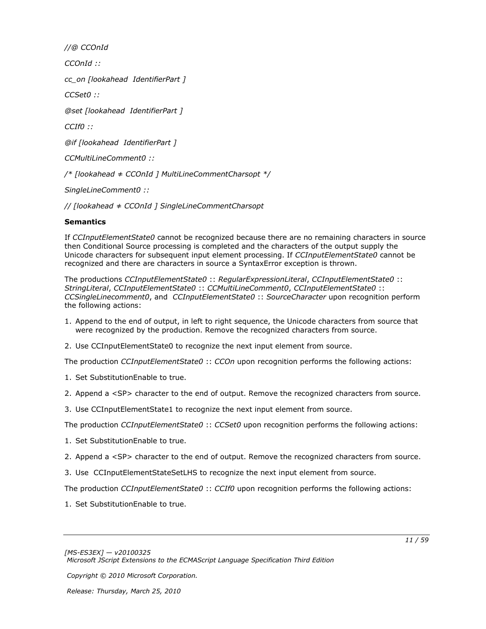*//@ CCOnId*

*CCOnId ::*

*cc\_on [lookahead IdentifierPart ]*

*CCSet0 ::*

*@set [lookahead IdentifierPart ]*

*CCIf0 ::*

*@if [lookahead IdentifierPart ]*

*CCMultiLineComment0 ::*

*/\* [lookahead ≠ CCOnId ] MultiLineCommentCharsopt \*/*

*SingleLineComment0 ::*

*// [lookahead ≠ CCOnId ] SingleLineCommentCharsopt*

### **Semantics**

If *CCInputElementState0* cannot be recognized because there are no remaining characters in source then Conditional Source processing is completed and the characters of the output supply the Unicode characters for subsequent input element processing. If *CCInputElementState0* cannot be recognized and there are characters in source a SyntaxError exception is thrown.

The productions *CCInputElementState0* :: *RegularExpressionLiteral*, *CCInputElementState0* :: *StringLiteral*, *CCInputElementState0* :: *CCMultiLineComment0*, *CCInputElementState0* :: *CCSingleLinecomment0*, and *CCInputElementState0* :: *SourceCharacter* upon recognition perform the following actions:

- 1. Append to the end of output, in left to right sequence, the Unicode characters from source that were recognized by the production. Remove the recognized characters from source.
- 2. Use CCInputElementState0 to recognize the next input element from source.

The production *CCInputElementState0* :: *CCOn* upon recognition performs the following actions:

- 1. Set SubstitutionEnable to true.
- 2. Append a <SP> character to the end of output. Remove the recognized characters from source.
- 3. Use CCInputElementState1 to recognize the next input element from source.

The production *CCInputElementState0* :: *CCSet0* upon recognition performs the following actions:

- 1. Set SubstitutionEnable to true.
- 2. Append a <SP> character to the end of output. Remove the recognized characters from source.
- 3. Use CCInputElementStateSetLHS to recognize the next input element from source.

The production *CCInputElementState0* :: *CCIf0* upon recognition performs the following actions:

1. Set SubstitutionEnable to true.

*Copyright © 2010 Microsoft Corporation.*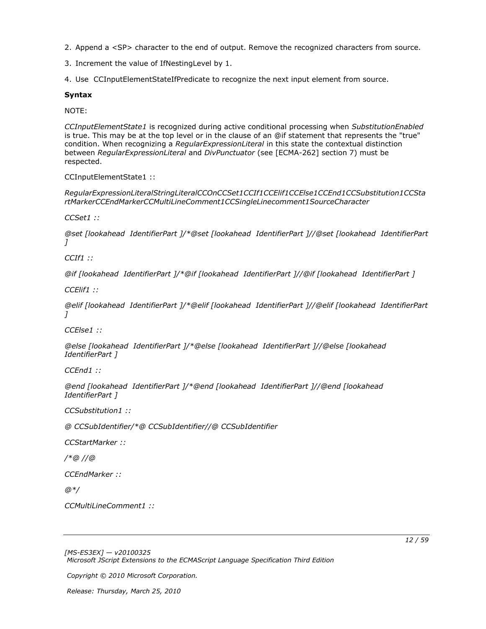- 2. Append a <SP> character to the end of output. Remove the recognized characters from source.
- 3. Increment the value of IfNestingLevel by 1.
- 4. Use CCInputElementStateIfPredicate to recognize the next input element from source.

#### **Syntax**

NOTE:

*CCInputElementState1* is recognized during active conditional processing when *SubstitutionEnabled* is true. This may be at the top level or in the clause of an @if statement that represents the "true" condition. When recognizing a *RegularExpressionLiteral* in this state the contextual distinction between *RegularExpressionLiteral* and *DivPunctuator* (see [ECMA-262] section 7) must be respected.

CCInputElementState1 ::

*RegularExpressionLiteralStringLiteralCCOnCCSet1CCIf1CCElif1CCElse1CCEnd1CCSubstitution1CCSta rtMarkerCCEndMarkerCCMultiLineComment1CCSingleLinecomment1SourceCharacter*

*CCSet1 ::*

*@set [lookahead IdentifierPart ]/\*@set [lookahead IdentifierPart ]//@set [lookahead IdentifierPart ]*

*CCIf1 ::*

*@if [lookahead IdentifierPart ]/\*@if [lookahead IdentifierPart ]//@if [lookahead IdentifierPart ]*

*CCElif1 ::*

*@elif [lookahead IdentifierPart ]/\*@elif [lookahead IdentifierPart ]//@elif [lookahead IdentifierPart ]*

*CCElse1 ::*

*@else [lookahead IdentifierPart ]/\*@else [lookahead IdentifierPart ]//@else [lookahead IdentifierPart ]*

*CCEnd1 ::*

*@end [lookahead IdentifierPart ]/\*@end [lookahead IdentifierPart ]//@end [lookahead IdentifierPart ]*

*CCSubstitution1 ::*

*@ CCSubIdentifier/\*@ CCSubIdentifier//@ CCSubIdentifier*

*CCStartMarker ::*

*/\*@ //@*

*CCEndMarker ::*

*@\*/*

*CCMultiLineComment1 ::*

*[MS-ES3EX] — v20100325 Microsoft JScript Extensions to the ECMAScript Language Specification Third Edition* 

*Copyright © 2010 Microsoft Corporation.* 

*Release: Thursday, March 25, 2010* 

*12 / 59*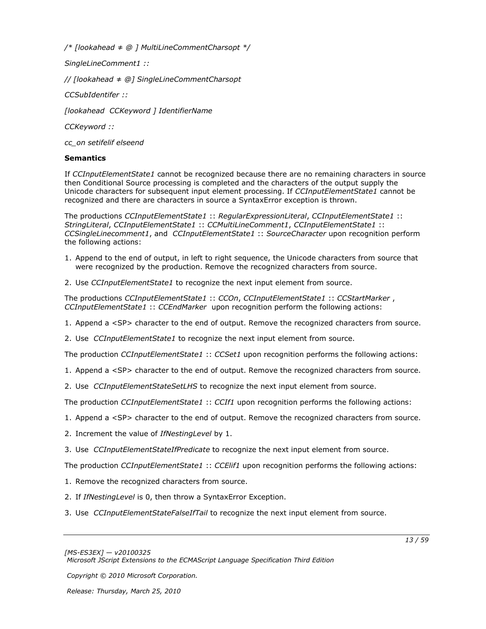*/\* [lookahead ≠ @ ] MultiLineCommentCharsopt \*/*

*SingleLineComment1 ::*

*// [lookahead ≠ @] SingleLineCommentCharsopt*

*CCSubIdentifer ::*

*[lookahead CCKeyword ] IdentifierName*

*CCKeyword ::*

*cc\_on setifelif elseend*

### **Semantics**

If *CCInputElementState1* cannot be recognized because there are no remaining characters in source then Conditional Source processing is completed and the characters of the output supply the Unicode characters for subsequent input element processing. If *CCInputElementState1* cannot be recognized and there are characters in source a SyntaxError exception is thrown.

The productions *CCInputElementState1* :: *RegularExpressionLiteral*, *CCInputElementState1* :: *StringLiteral*, *CCInputElementState1* :: *CCMultiLineComment1*, *CCInputElementState1* :: *CCSingleLinecomment1*, and *CCInputElementState1* :: *SourceCharacter* upon recognition perform the following actions:

- 1. Append to the end of output, in left to right sequence, the Unicode characters from source that were recognized by the production. Remove the recognized characters from source.
- 2. Use *CCInputElementState1* to recognize the next input element from source.

The productions *CCInputElementState1* :: *CCOn*, *CCInputElementState1* :: *CCStartMarker* , *CCInputElementState1* :: *CCEndMarker* upon recognition perform the following actions:

- 1. Append a <SP> character to the end of output. Remove the recognized characters from source.
- 2. Use *CCInputElementState1* to recognize the next input element from source.

The production *CCInputElementState1* :: *CCSet1* upon recognition performs the following actions:

- 1. Append a <SP> character to the end of output. Remove the recognized characters from source.
- 2. Use *CCInputElementStateSetLHS* to recognize the next input element from source.

The production *CCInputElementState1* :: *CCIf1* upon recognition performs the following actions:

- 1. Append a <SP> character to the end of output. Remove the recognized characters from source.
- 2. Increment the value of *IfNestingLevel* by 1.
- 3. Use *CCInputElementStateIfPredicate* to recognize the next input element from source.

The production *CCInputElementState1* :: *CCElif1* upon recognition performs the following actions:

- 1. Remove the recognized characters from source.
- 2. If *IfNestingLevel* is 0, then throw a SyntaxError Exception.
- 3. Use *CCInputElementStateFalseIfTail* to recognize the next input element from source.

*Copyright © 2010 Microsoft Corporation.*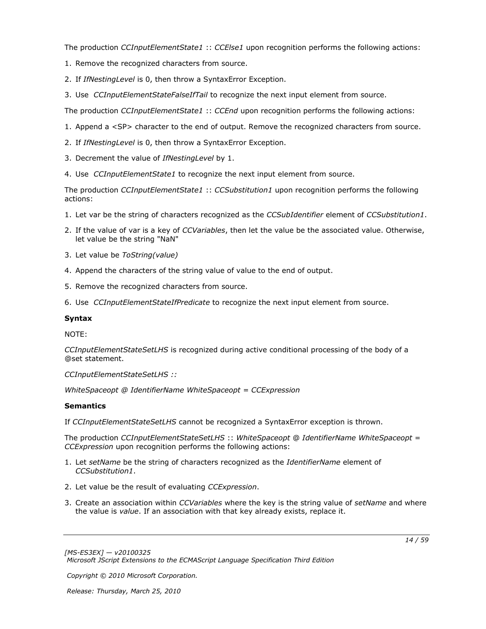The production *CCInputElementState1* :: *CCElse1* upon recognition performs the following actions:

- 1. Remove the recognized characters from source.
- 2. If *IfNestingLevel* is 0, then throw a SyntaxError Exception.
- 3. Use *CCInputElementStateFalseIfTail* to recognize the next input element from source.

The production *CCInputElementState1* :: *CCEnd* upon recognition performs the following actions:

- 1. Append a <SP> character to the end of output. Remove the recognized characters from source.
- 2. If *IfNestingLevel* is 0, then throw a SyntaxError Exception.
- 3. Decrement the value of *IfNestingLevel* by 1.
- 4. Use *CCInputElementState1* to recognize the next input element from source.

The production *CCInputElementState1* :: *CCSubstitution1* upon recognition performs the following actions:

- 1. Let var be the string of characters recognized as the *CCSubIdentifier* element of *CCSubstitution1*.
- 2. If the value of var is a key of *CCVariables*, then let the value be the associated value. Otherwise, let value be the string "NaN"
- 3. Let value be *ToString(value)*
- 4. Append the characters of the string value of value to the end of output.
- 5. Remove the recognized characters from source.
- 6. Use *CCInputElementStateIfPredicate* to recognize the next input element from source.

### **Syntax**

NOTE:

*CCInputElementStateSetLHS* is recognized during active conditional processing of the body of a @set statement.

*CCInputElementStateSetLHS ::*

*WhiteSpaceopt @ IdentifierName WhiteSpaceopt = CCExpression*

### **Semantics**

If *CCInputElementStateSetLHS* cannot be recognized a SyntaxError exception is thrown.

The production *CCInputElementStateSetLHS* :: *WhiteSpaceopt* @ *IdentifierName WhiteSpaceopt* = *CCExpression* upon recognition performs the following actions:

- 1. Let *setName* be the string of characters recognized as the *IdentifierName* element of *CCSubstitution1*.
- 2. Let value be the result of evaluating *CCExpression*.
- 3. Create an association within *CCVariables* where the key is the string value of *setName* and where the value is *value*. If an association with that key already exists, replace it.

*Copyright © 2010 Microsoft Corporation.*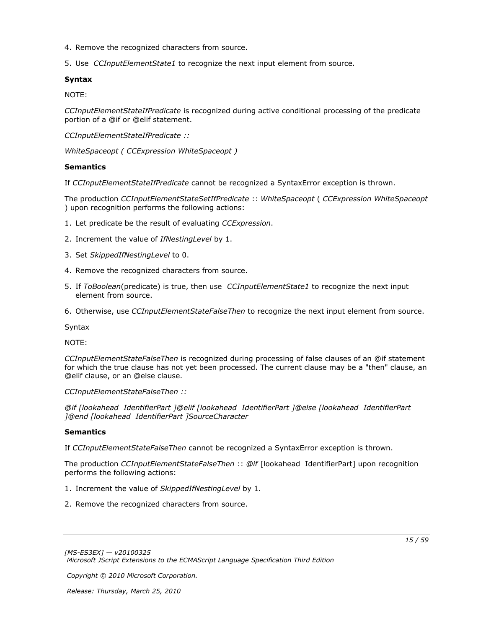- 4. Remove the recognized characters from source.
- 5. Use *CCInputElementState1* to recognize the next input element from source.

### **Syntax**

NOTE:

*CCInputElementStateIfPredicate* is recognized during active conditional processing of the predicate portion of a @if or @elif statement.

*CCInputElementStateIfPredicate ::*

*WhiteSpaceopt ( CCExpression WhiteSpaceopt )*

#### **Semantics**

If *CCInputElementStateIfPredicate* cannot be recognized a SyntaxError exception is thrown.

The production *CCInputElementStateSetIfPredicate* :: *WhiteSpaceopt* ( *CCExpression WhiteSpaceopt* ) upon recognition performs the following actions:

- 1. Let predicate be the result of evaluating *CCExpression*.
- 2. Increment the value of *IfNestingLevel* by 1.
- 3. Set *SkippedIfNestingLevel* to 0.
- 4. Remove the recognized characters from source.
- 5. If *ToBoolean*(predicate) is true, then use *CCInputElementState1* to recognize the next input element from source.
- 6. Otherwise, use *CCInputElementStateFalseThen* to recognize the next input element from source.

Syntax

NOTE:

*CCInputElementStateFalseThen* is recognized during processing of false clauses of an @if statement for which the true clause has not yet been processed. The current clause may be a "then" clause, an @elif clause, or an @else clause.

*CCInputElementStateFalseThen ::*

*@if [lookahead IdentifierPart ]@elif [lookahead IdentifierPart ]@else [lookahead IdentifierPart ]@end [lookahead IdentifierPart ]SourceCharacter*

### **Semantics**

If *CCInputElementStateFalseThen* cannot be recognized a SyntaxError exception is thrown.

The production *CCInputElementStateFalseThen* :: *@if* [lookahead IdentifierPart] upon recognition performs the following actions:

- 1. Increment the value of *SkippedIfNestingLevel* by 1.
- 2. Remove the recognized characters from source.

*[MS-ES3EX] — v20100325 Microsoft JScript Extensions to the ECMAScript Language Specification Third Edition* 

*Copyright © 2010 Microsoft Corporation.*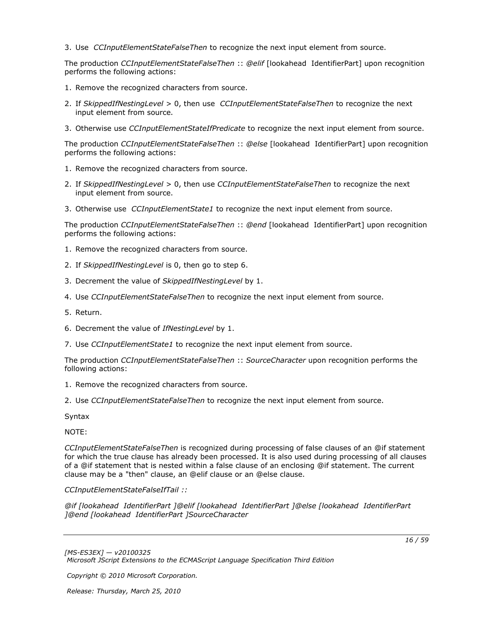3. Use *CCInputElementStateFalseThen* to recognize the next input element from source.

The production *CCInputElementStateFalseThen* :: *@elif* [lookahead IdentifierPart] upon recognition performs the following actions:

- 1. Remove the recognized characters from source.
- 2. If *SkippedIfNestingLevel* > 0, then use *CCInputElementStateFalseThen* to recognize the next input element from source.
- 3. Otherwise use *CCInputElementStateIfPredicate* to recognize the next input element from source.

The production *CCInputElementStateFalseThen* :: *@else* [lookahead IdentifierPart] upon recognition performs the following actions:

- 1. Remove the recognized characters from source.
- 2. If *SkippedIfNestingLevel* > 0, then use *CCInputElementStateFalseThen* to recognize the next input element from source.
- 3. Otherwise use *CCInputElementState1* to recognize the next input element from source.

The production *CCInputElementStateFalseThen* :: *@end* [lookahead IdentifierPart] upon recognition performs the following actions:

- 1. Remove the recognized characters from source.
- 2. If *SkippedIfNestingLevel* is 0, then go to step 6.
- 3. Decrement the value of *SkippedIfNestingLevel* by 1.
- 4. Use *CCInputElementStateFalseThen* to recognize the next input element from source.
- 5. Return.
- 6. Decrement the value of *IfNestingLevel* by 1.
- 7. Use *CCInputElementState1* to recognize the next input element from source.

The production *CCInputElementStateFalseThen* :: *SourceCharacter* upon recognition performs the following actions:

- 1. Remove the recognized characters from source.
- 2. Use *CCInputElementStateFalseThen* to recognize the next input element from source.

Syntax

NOTE:

*CCInputElementStateFalseThen* is recognized during processing of false clauses of an @if statement for which the true clause has already been processed. It is also used during processing of all clauses of a @if statement that is nested within a false clause of an enclosing @if statement. The current clause may be a "then" clause, an @elif clause or an @else clause.

*CCInputElementStateFalseIfTail ::*

*@if [lookahead IdentifierPart ]@elif [lookahead IdentifierPart ]@else [lookahead IdentifierPart ]@end [lookahead IdentifierPart ]SourceCharacter*

*Copyright © 2010 Microsoft Corporation.*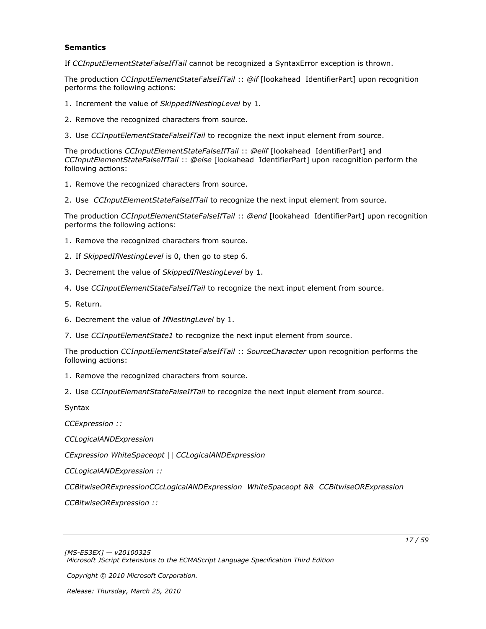#### **Semantics**

If *CCInputElementStateFalseIfTail* cannot be recognized a SyntaxError exception is thrown.

The production *CCInputElementStateFalseIfTail* :: *@if* [lookahead IdentifierPart] upon recognition performs the following actions:

- 1. Increment the value of *SkippedIfNestingLevel* by 1.
- 2. Remove the recognized characters from source.
- 3. Use *CCInputElementStateFalseIfTail* to recognize the next input element from source.

The productions *CCInputElementStateFalseIfTail* :: *@elif* [lookahead IdentifierPart] and *CCInputElementStateFalseIfTail* :: *@else* [lookahead IdentifierPart] upon recognition perform the following actions:

- 1. Remove the recognized characters from source.
- 2. Use *CCInputElementStateFalseIfTail* to recognize the next input element from source.

The production *CCInputElementStateFalseIfTail* :: *@end* [lookahead IdentifierPart] upon recognition performs the following actions:

- 1. Remove the recognized characters from source.
- 2. If *SkippedIfNestingLevel* is 0, then go to step 6.
- 3. Decrement the value of *SkippedIfNestingLevel* by 1.
- 4. Use *CCInputElementStateFalseIfTail* to recognize the next input element from source.
- 5. Return.
- 6. Decrement the value of *IfNestingLevel* by 1.
- 7. Use *CCInputElementState1* to recognize the next input element from source.

The production *CCInputElementStateFalseIfTail* :: *SourceCharacter* upon recognition performs the following actions:

- 1. Remove the recognized characters from source.
- 2. Use *CCInputElementStateFalseIfTail* to recognize the next input element from source.

Syntax

*CCExpression ::*

*CCLogicalANDExpression*

*CExpression WhiteSpaceopt || CCLogicalANDExpression*

*CCLogicalANDExpression ::*

*CCBitwiseORExpressionCCcLogicalANDExpression WhiteSpaceopt && CCBitwiseORExpression*

*CCBitwiseORExpression ::*

*Copyright © 2010 Microsoft Corporation.*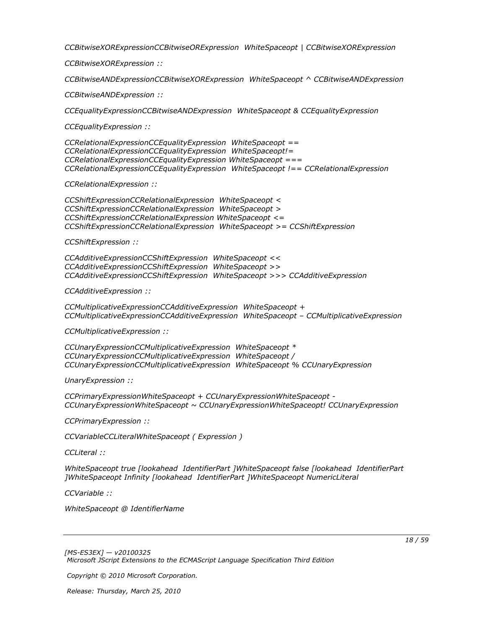*CCBitwiseXORExpressionCCBitwiseORExpression WhiteSpaceopt | CCBitwiseXORExpression*

*CCBitwiseXORExpression ::*

*CCBitwiseANDExpressionCCBitwiseXORExpression WhiteSpaceopt ^ CCBitwiseANDExpression*

*CCBitwiseANDExpression ::*

*CCEqualityExpressionCCBitwiseANDExpression WhiteSpaceopt & CCEqualityExpression*

*CCEqualityExpression ::*

*CCRelationalExpressionCCEqualityExpression WhiteSpaceopt == CCRelationalExpressionCCEqualityExpression WhiteSpaceopt!= CCRelationalExpressionCCEqualityExpression WhiteSpaceopt === CCRelationalExpressionCCEqualityExpression WhiteSpaceopt !== CCRelationalExpression*

*CCRelationalExpression ::*

*CCShiftExpressionCCRelationalExpression WhiteSpaceopt < CCShiftExpressionCCRelationalExpression WhiteSpaceopt > CCShiftExpressionCCRelationalExpression WhiteSpaceopt <= CCShiftExpressionCCRelationalExpression WhiteSpaceopt >= CCShiftExpression*

*CCShiftExpression ::*

*CCAdditiveExpressionCCShiftExpression WhiteSpaceopt << CCAdditiveExpressionCCShiftExpression WhiteSpaceopt >> CCAdditiveExpressionCCShiftExpression WhiteSpaceopt >>> CCAdditiveExpression*

*CCAdditiveExpression ::*

*CCMultiplicativeExpressionCCAdditiveExpression WhiteSpaceopt + CCMultiplicativeExpressionCCAdditiveExpression WhiteSpaceopt – CCMultiplicativeExpression*

*CCMultiplicativeExpression ::*

*CCUnaryExpressionCCMultiplicativeExpression WhiteSpaceopt \* CCUnaryExpressionCCMultiplicativeExpression WhiteSpaceopt / CCUnaryExpressionCCMultiplicativeExpression WhiteSpaceopt % CCUnaryExpression*

*UnaryExpression ::*

*CCPrimaryExpressionWhiteSpaceopt + CCUnaryExpressionWhiteSpaceopt - CCUnaryExpressionWhiteSpaceopt ~ CCUnaryExpressionWhiteSpaceopt! CCUnaryExpression*

*CCPrimaryExpression ::*

*CCVariableCCLiteralWhiteSpaceopt ( Expression )*

*CCLiteral ::*

*WhiteSpaceopt true [lookahead IdentifierPart ]WhiteSpaceopt false [lookahead IdentifierPart ]WhiteSpaceopt Infinity [lookahead IdentifierPart ]WhiteSpaceopt NumericLiteral*

*CCVariable ::*

*WhiteSpaceopt @ IdentifierName*

*Copyright © 2010 Microsoft Corporation.*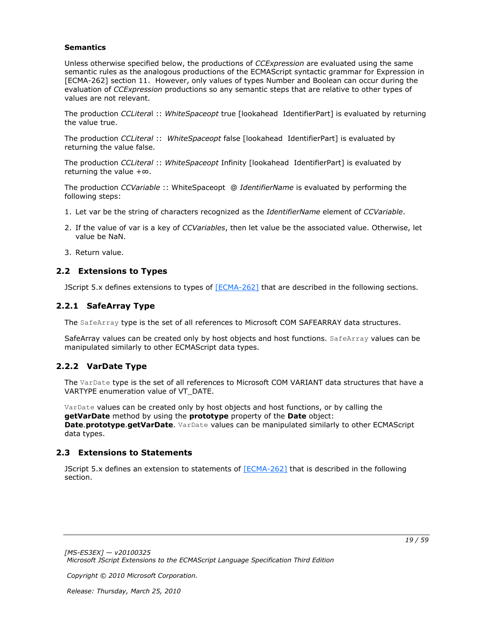#### **Semantics**

Unless otherwise specified below, the productions of *CCExpression* are evaluated using the same semantic rules as the analogous productions of the ECMAScript syntactic grammar for Expression in [ECMA-262] section 11. However, only values of types Number and Boolean can occur during the evaluation of *CCExpression* productions so any semantic steps that are relative to other types of values are not relevant.

The production *CCLitera*l :: *WhiteSpaceopt* true [lookahead IdentifierPart] is evaluated by returning the value true.

The production *CCLiteral* :: *WhiteSpaceopt* false [lookahead IdentifierPart] is evaluated by returning the value false.

The production *CCLiteral* :: *WhiteSpaceopt* Infinity [lookahead IdentifierPart] is evaluated by returning the value +∞.

The production *CCVariable* :: WhiteSpaceopt @ *IdentifierName* is evaluated by performing the following steps:

- 1. Let var be the string of characters recognized as the *IdentifierName* element of *CCVariable*.
- 2. If the value of var is a key of *CCVariables*, then let value be the associated value. Otherwise, let value be NaN.
- <span id="page-18-4"></span>3. Return value.

## <span id="page-18-0"></span>**2.2 Extensions to Types**

<span id="page-18-6"></span>JScript 5.x defines extensions to types of [\[ECMA-262\]](http://go.microsoft.com/fwlink/?LinkId=153655) that are described in the following sections.

## <span id="page-18-1"></span>**2.2.1 SafeArray Type**

The SafeArray type is the set of all references to Microsoft COM SAFEARRAY data structures.

SafeArray values can be created only by host objects and host functions. SafeArray values can be manipulated similarly to other ECMAScript data types.

## <span id="page-18-2"></span>**2.2.2 VarDate Type**

<span id="page-18-7"></span>The VarDate type is the set of all references to Microsoft COM VARIANT data structures that have a VARTYPE enumeration value of VT\_DATE.

VarDate values can be created only by host objects and host functions, or by calling the **getVarDate** method by using the **prototype** property of the **Date** object: **Date**.**prototype**.**getVarDate**. VarDate values can be manipulated similarly to other ECMAScript data types.

### <span id="page-18-3"></span>**2.3 Extensions to Statements**

<span id="page-18-5"></span>JScript 5.x defines an extension to statements of [\[ECMA-262\]](http://go.microsoft.com/fwlink/?LinkId=153655) that is described in the following section.

*Copyright © 2010 Microsoft Corporation.*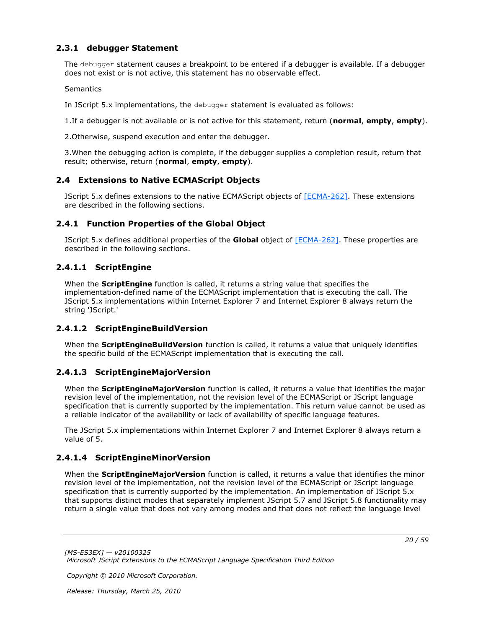## <span id="page-19-0"></span>**2.3.1 debugger Statement**

<span id="page-19-13"></span>The debugger statement causes a breakpoint to be entered if a debugger is available. If a debugger does not exist or is not active, this statement has no observable effect.

**Semantics** 

In JScript 5.x implementations, the debugger statement is evaluated as follows:

1.If a debugger is not available or is not active for this statement, return (**normal**, **empty**, **empty**).

2.Otherwise, suspend execution and enter the debugger.

3.When the debugging action is complete, if the debugger supplies a completion result, return that result; otherwise, return (**normal**, **empty**, **empty**).

## <span id="page-19-1"></span>**2.4 Extensions to Native ECMAScript Objects**

<span id="page-19-7"></span>JScript 5.x defines extensions to the native ECMAScript objects of [\[ECMA-262\].](http://go.microsoft.com/fwlink/?LinkId=153655) These extensions are described in the following sections.

### <span id="page-19-2"></span>**2.4.1 Function Properties of the Global Object**

<span id="page-19-8"></span>JScript 5.x defines additional properties of the **Global** object of [\[ECMA-262\].](http://go.microsoft.com/fwlink/?LinkId=153655) These properties are described in the following sections.

### <span id="page-19-3"></span>**2.4.1.1 ScriptEngine**

<span id="page-19-9"></span>When the **ScriptEngine** function is called, it returns a string value that specifies the implementation-defined name of the ECMAScript implementation that is executing the call. The JScript 5.x implementations within Internet Explorer 7 and Internet Explorer 8 always return the string 'JScript.'

### <span id="page-19-4"></span>**2.4.1.2 ScriptEngineBuildVersion**

<span id="page-19-10"></span>When the **ScriptEngineBuildVersion** function is called, it returns a value that uniquely identifies the specific build of the ECMAScript implementation that is executing the call.

## <span id="page-19-5"></span>**2.4.1.3 ScriptEngineMajorVersion**

<span id="page-19-11"></span>When the **ScriptEngineMajorVersion** function is called, it returns a value that identifies the major revision level of the implementation, not the revision level of the ECMAScript or JScript language specification that is currently supported by the implementation. This return value cannot be used as a reliable indicator of the availability or lack of availability of specific language features.

The JScript 5.x implementations within Internet Explorer 7 and Internet Explorer 8 always return a value of 5.

## <span id="page-19-6"></span>**2.4.1.4 ScriptEngineMinorVersion**

<span id="page-19-12"></span>When the **ScriptEngineMajorVersion** function is called, it returns a value that identifies the minor revision level of the implementation, not the revision level of the ECMAScript or JScript language specification that is currently supported by the implementation. An implementation of JScript 5.x that supports distinct modes that separately implement JScript 5.7 and JScript 5.8 functionality may return a single value that does not vary among modes and that does not reflect the language level

*Copyright © 2010 Microsoft Corporation.*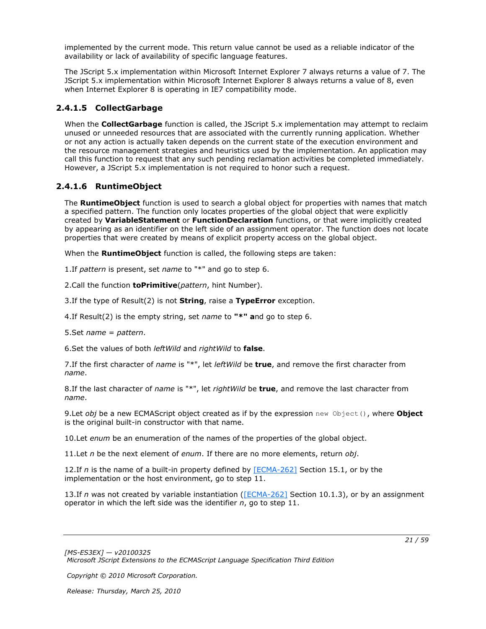implemented by the current mode. This return value cannot be used as a reliable indicator of the availability or lack of availability of specific language features.

The JScript 5.x implementation within Microsoft Internet Explorer 7 always returns a value of 7. The JScript 5.x implementation within Microsoft Internet Explorer 8 always returns a value of 8, even when Internet Explorer 8 is operating in IE7 compatibility mode.

## <span id="page-20-0"></span>**2.4.1.5 CollectGarbage**

<span id="page-20-2"></span>When the **CollectGarbage** function is called, the JScript 5.x implementation may attempt to reclaim unused or unneeded resources that are associated with the currently running application. Whether or not any action is actually taken depends on the current state of the execution environment and the resource management strategies and heuristics used by the implementation. An application may call this function to request that any such pending reclamation activities be completed immediately. However, a JScript 5.x implementation is not required to honor such a request.

## <span id="page-20-1"></span>**2.4.1.6 RuntimeObject**

<span id="page-20-3"></span>The **RuntimeObject** function is used to search a global object for properties with names that match a specified pattern. The function only locates properties of the global object that were explicitly created by **VariableStatement** or **FunctionDeclaration** functions, or that were implicitly created by appearing as an identifier on the left side of an assignment operator. The function does not locate properties that were created by means of explicit property access on the global object.

When the **RuntimeObject** function is called, the following steps are taken:

1.If *pattern* is present, set *name* to "\*" and go to step 6.

2.Call the function **toPrimitive**(*pattern*, hint Number).

3.If the type of Result(2) is not **String**, raise a **TypeError** exception.

4.If Result(2) is the empty string, set *name* to **"\*" a**nd go to step 6.

5.Set *name* = *pattern*.

6.Set the values of both *leftWild* and *rightWild* to **false**.

7.If the first character of *name* is "\*", let *leftWild* be **true**, and remove the first character from *name*.

8.If the last character of *name* is "\*", let *rightWild* be **true**, and remove the last character from *name*.

9.Let *obj* be a new ECMAScript object created as if by the expression new Object(), where **Object** is the original built-in constructor with that name.

10.Let *enum* be an enumeration of the names of the properties of the global object.

11.Let *n* be the next element of *enum*. If there are no more elements, return *obj*.

12.If *n* is the name of a built-in property defined by [\[ECMA-262\]](http://go.microsoft.com/fwlink/?LinkId=153655) Section 15.1, or by the implementation or the host environment, go to step 11.

13.If *n* was not created by variable instantiation [\(\[ECMA-262\]](http://go.microsoft.com/fwlink/?LinkId=153655) Section 10.1.3), or by an assignment operator in which the left side was the identifier *n*, go to step 11.

*Copyright © 2010 Microsoft Corporation.*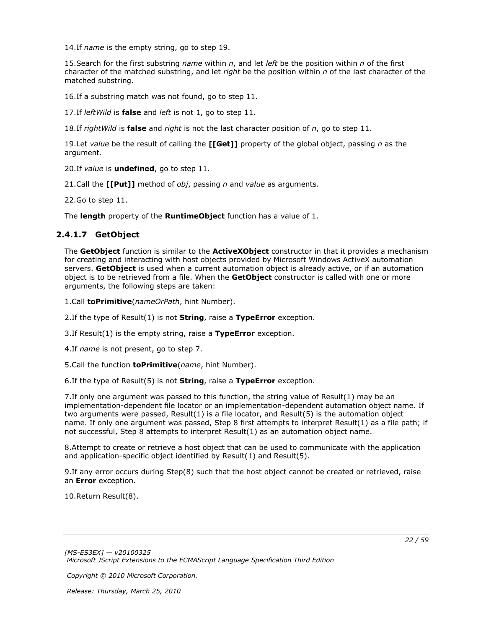14.If *name* is the empty string, go to step 19.

15.Search for the first substring *name* within *n*, and let *left* be the position within *n* of the first character of the matched substring, and let *right* be the position within *n* of the last character of the matched substring.

16.If a substring match was not found, go to step 11.

17.If *leftWild* is **false** and *left* is not 1, go to step 11.

18.If *rightWild* is **false** and *right* is not the last character position of *n*, go to step 11.

19.Let *value* be the result of calling the **[[Get]]** property of the global object, passing *n* as the argument.

20.If *value* is **undefined**, go to step 11.

21.Call the **[[Put]]** method of *obj*, passing *n* and *value* as arguments.

22.Go to step 11.

<span id="page-21-1"></span>The **length** property of the **RuntimeObject** function has a value of 1.

### <span id="page-21-0"></span>**2.4.1.7 GetObject**

The **GetObject** function is similar to the **ActiveXObject** constructor in that it provides a mechanism for creating and interacting with host objects provided by Microsoft Windows ActiveX automation servers. **GetObject** is used when a current automation object is already active, or if an automation object is to be retrieved from a file. When the **GetObject** constructor is called with one or more arguments, the following steps are taken:

1.Call **toPrimitive**(*nameOrPath*, hint Number).

2.If the type of Result(1) is not **String**, raise a **TypeError** exception.

3.If Result(1) is the empty string, raise a **TypeError** exception.

4.If *name* is not present, go to step 7.

5.Call the function **toPrimitive**(*name*, hint Number).

6.If the type of Result(5) is not **String**, raise a **TypeError** exception.

7.If only one argument was passed to this function, the string value of Result(1) may be an implementation-dependent file locator or an implementation-dependent automation object name. If two arguments were passed, Result(1) is a file locator, and Result(5) is the automation object name. If only one argument was passed, Step 8 first attempts to interpret Result(1) as a file path; if not successful, Step 8 attempts to interpret Result(1) as an automation object name.

8.Attempt to create or retrieve a host object that can be used to communicate with the application and application-specific object identified by Result(1) and Result(5).

9.If any error occurs during Step(8) such that the host object cannot be created or retrieved, raise an **Error** exception.

10.Return Result(8).

*[MS-ES3EX] — v20100325 Microsoft JScript Extensions to the ECMAScript Language Specification Third Edition* 

*Copyright © 2010 Microsoft Corporation.*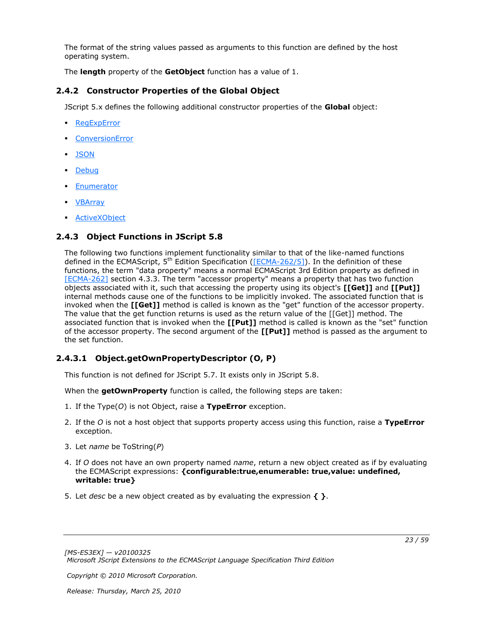The format of the string values passed as arguments to this function are defined by the host operating system.

<span id="page-22-3"></span>The **length** property of the **GetObject** function has a value of 1.

## <span id="page-22-0"></span>**2.4.2 Constructor Properties of the Global Object**

JScript 5.x defines the following additional constructor properties of the **Global** object:

- **[RegExpError](#page-34-12)**
- [ConversionError](#page-34-13)
- **[JSON](#page-35-3)**
- [Debug](#page-45-2)
- [Enumerator](#page-46-6)
- <u>[VBArray](#page-48-6)</u>
- <span id="page-22-4"></span>[ActiveXObject](#page-52-5)

## <span id="page-22-1"></span>**2.4.3 Object Functions in JScript 5.8**

The following two functions implement functionality similar to that of the like-named functions defined in the ECMAScript,  $5^{th}$  Edition Specification ( $[ECMA-262/5]$ ). In the definition of these functions, the term "data property" means a normal ECMAScript 3rd Edition property as defined in [\[ECMA-262\]](http://go.microsoft.com/fwlink/?LinkId=153655) section 4.3.3. The term "accessor property" means a property that has two function objects associated with it, such that accessing the property using its object's **[[Get]]** and **[[Put]]** internal methods cause one of the functions to be implicitly invoked. The associated function that is invoked when the **[[Get]]** method is called is known as the "get" function of the accessor property. The value that the get function returns is used as the return value of the [[Get]] method. The associated function that is invoked when the **[[Put]]** method is called is known as the "set" function of the accessor property. The second argument of the **[[Put]]** method is passed as the argument to the set function.

## <span id="page-22-2"></span>**2.4.3.1 Object.getOwnPropertyDescriptor (O, P)**

<span id="page-22-5"></span>This function is not defined for JScript 5.7. It exists only in JScript 5.8.

When the **getOwnProperty** function is called, the following steps are taken:

- 1. If the Type(*O*) is not Object, raise a **TypeError** exception.
- 2. If the *O* is not a host object that supports property access using this function, raise a **TypeError** exception.
- 3. Let *name* be ToString(*P*)
- 4. If *O* does not have an own property named *name*, return a new object created as if by evaluating the ECMAScript expressions: **{configurable:true,enumerable: true,value: undefined, writable: true}**
- 5. Let *desc* be a new object created as by evaluating the expression **{ }**.

*Copyright © 2010 Microsoft Corporation.*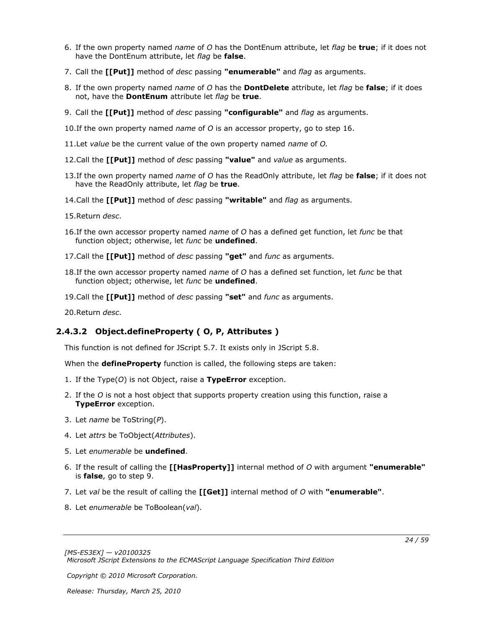- 6. If the own property named *name* of *O* has the DontEnum attribute, let *flag* be **true**; if it does not have the DontEnum attribute, let *flag* be **false**.
- 7. Call the **[[Put]]** method of *desc* passing **"enumerable"** and *flag* as arguments.
- 8. If the own property named *name* of *O* has the **DontDelete** attribute, let *flag* be **false**; if it does not, have the **DontEnum** attribute let *flag* be **true**.
- 9. Call the **[[Put]]** method of *desc* passing **"configurable"** and *flag* as arguments.
- 10.If the own property named *name* of *O* is an accessor property, go to step 16.
- 11.Let *value* be the current value of the own property named *name* of *O.*
- 12.Call the **[[Put]]** method of *desc* passing **"value"** and *value* as arguments.
- 13.If the own property named *name* of *O* has the ReadOnly attribute, let *flag* be **false**; if it does not have the ReadOnly attribute, let *flag* be **true**.
- 14.Call the **[[Put]]** method of *desc* passing **"writable"** and *flag* as arguments.
- 15.Return *desc*.
- 16.If the own accessor property named *name* of *O* has a defined get function, let *func* be that function object; otherwise, let *func* be **undefined**.
- 17.Call the **[[Put]]** method of *desc* passing **"get"** and *func* as arguments.
- 18.If the own accessor property named *name* of *O* has a defined set function, let *func* be that function object; otherwise, let *func* be **undefined**.
- 19.Call the **[[Put]]** method of *desc* passing **"set"** and *func* as arguments.
- <span id="page-23-1"></span>20.Return *desc*.

### <span id="page-23-0"></span>**2.4.3.2 Object.defineProperty ( O, P, Attributes )**

This function is not defined for JScript 5.7. It exists only in JScript 5.8.

When the **defineProperty** function is called, the following steps are taken:

- 1. If the Type(*O*) is not Object, raise a **TypeError** exception.
- 2. If the *O* is not a host object that supports property creation using this function, raise a **TypeError** exception.
- 3. Let *name* be ToString(*P*).
- 4. Let *attrs* be ToObject(*Attributes*).
- 5. Let *enumerable* be **undefined**.
- 6. If the result of calling the **[[HasProperty]]** internal method of *O* with argument **"enumerable"** is **false**, go to step 9.
- 7. Let *val* be the result of calling the **[[Get]]** internal method of *O* with **"enumerable"**.
- 8. Let *enumerable* be ToBoolean(*val*).

*Copyright © 2010 Microsoft Corporation.*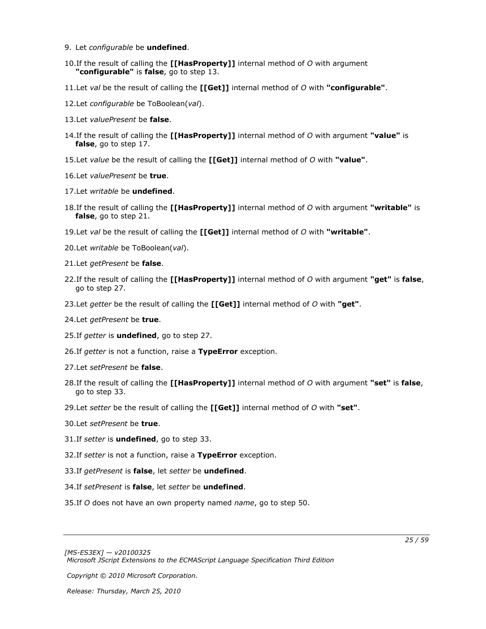- 9. Let *configurable* be **undefined**.
- 10.If the result of calling the **[[HasProperty]]** internal method of *O* with argument **"configurable"** is **false**, go to step 13.
- 11.Let *val* be the result of calling the **[[Get]]** internal method of *O* with **"configurable"**.
- 12.Let *configurable* be ToBoolean(*val*).
- 13.Let *valuePresent* be **false**.
- 14.If the result of calling the **[[HasProperty]]** internal method of *O* with argument **"value"** is **false**, go to step 17.
- 15.Let *value* be the result of calling the **[[Get]]** internal method of *O* with **"value"**.
- 16.Let *valuePresent* be **true**.
- 17.Let *writable* be **undefined**.
- 18.If the result of calling the **[[HasProperty]]** internal method of *O* with argument **"writable"** is **false**, go to step 21.
- 19.Let *val* be the result of calling the **[[Get]]** internal method of *O* with **"writable"**.
- 20.Let *writable* be ToBoolean(*val*).
- 21.Let *getPresent* be **false**.
- 22.If the result of calling the **[[HasProperty]]** internal method of *O* with argument **"get"** is **false**, go to step 27.
- 23.Let *getter* be the result of calling the **[[Get]]** internal method of *O* with **"get"**.
- 24.Let *getPresent* be **true**.
- 25.If *getter* is **undefined**, go to step 27.
- 26.If *getter* is not a function, raise a **TypeError** exception.
- 27.Let *setPresent* be **false**.
- 28.If the result of calling the **[[HasProperty]]** internal method of *O* with argument **"set"** is **false**, go to step 33.
- 29.Let *setter* be the result of calling the **[[Get]]** internal method of *O* with **"set"**.
- 30.Let *setPresent* be **true**.
- 31.If *setter* is **undefined**, go to step 33.
- 32.If *setter* is not a function, raise a **TypeError** exception.
- 33.If *getPresent* is **false**, let *setter* be **undefined**.
- 34.If *setPresent* is **false**, let *setter* be **undefined**.
- 35.If *O* does not have an own property named *name*, go to step 50.

*Copyright © 2010 Microsoft Corporation.*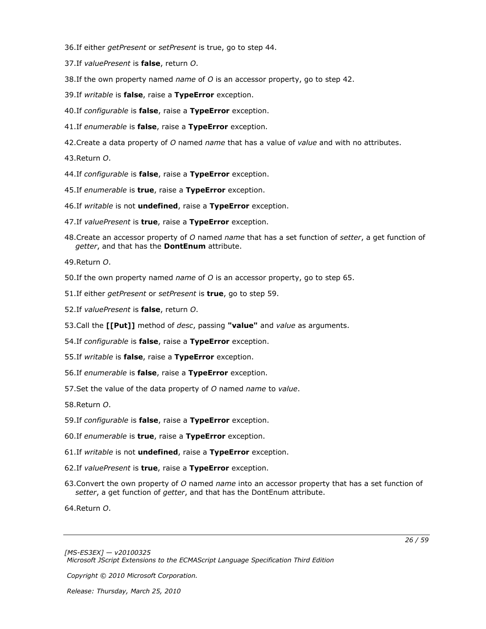36.If either *getPresent* or *setPresent* is true, go to step 44.

- 37.If *valuePresent* is **false**, return *O*.
- 38.If the own property named *name* of *O* is an accessor property, go to step 42.
- 39.If *writable* is **false**, raise a **TypeError** exception.
- 40.If *configurable* is **false**, raise a **TypeError** exception.
- 41.If *enumerable* is **false**, raise a **TypeError** exception.
- 42.Create a data property of *O* named *name* that has a value of *value* and with no attributes.

43.Return *O*.

- 44.If *configurable* is **false**, raise a **TypeError** exception.
- 45.If *enumerable* is **true**, raise a **TypeError** exception.
- 46.If *writable* is not **undefined**, raise a **TypeError** exception.
- 47.If *valuePresent* is **true**, raise a **TypeError** exception.
- 48.Create an accessor property of *O* named *name* that has a set function of *setter*, a get function of *getter*, and that has the **DontEnum** attribute.

49.Return *O*.

- 50.If the own property named *name* of *O* is an accessor property, go to step 65.
- 51.If either *getPresent* or *setPresent* is **true**, go to step 59.
- 52.If *valuePresent* is **false**, return *O*.
- 53.Call the **[[Put]]** method of *desc*, passing **"value"** and *value* as arguments.
- 54.If *configurable* is **false**, raise a **TypeError** exception.
- 55.If *writable* is **false**, raise a **TypeError** exception.
- 56.If *enumerable* is **false**, raise a **TypeError** exception.
- 57.Set the value of the data property of *O* named *name* to *value*.

58.Return *O*.

- 59.If *configurable* is **false**, raise a **TypeError** exception.
- 60.If *enumerable* is **true**, raise a **TypeError** exception.
- 61.If *writable* is not **undefined**, raise a **TypeError** exception.
- 62.If *valuePresent* is **true**, raise a **TypeError** exception.
- 63.Convert the own property of *O* named *name* into an accessor property that has a set function of *setter*, a get function of *getter*, and that has the DontEnum attribute.

64.Return *O*.

*[MS-ES3EX] — v20100325 Microsoft JScript Extensions to the ECMAScript Language Specification Third Edition* 

*Copyright © 2010 Microsoft Corporation.*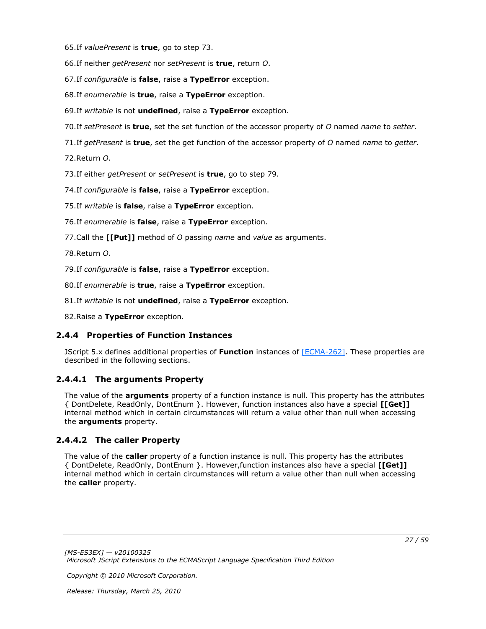65.If *valuePresent* is **true**, go to step 73.

66.If neither *getPresent* nor *setPresent* is **true**, return *O*.

67.If *configurable* is **false**, raise a **TypeError** exception.

68.If *enumerable* is **true**, raise a **TypeError** exception.

69.If *writable* is not **undefined**, raise a **TypeError** exception.

70.If *setPresent* is **true**, set the set function of the accessor property of *O* named *name* to *setter*.

71.If *getPresent* is **true**, set the get function of the accessor property of *O* named *name* to *getter*.

72.Return *O*.

73.If either *getPresent* or *setPresent* is **true**, go to step 79.

74.If *configurable* is **false**, raise a **TypeError** exception.

75.If *writable* is **false**, raise a **TypeError** exception.

76.If *enumerable* is **false**, raise a **TypeError** exception.

77.Call the **[[Put]]** method of *O* passing *name* and *value* as arguments.

78.Return *O*.

79.If *configurable* is **false**, raise a **TypeError** exception.

80.If *enumerable* is **true**, raise a **TypeError** exception.

81.If *writable* is not **undefined**, raise a **TypeError** exception.

<span id="page-26-3"></span>82.Raise a **TypeError** exception.

### <span id="page-26-0"></span>**2.4.4 Properties of Function Instances**

JScript 5.x defines additional properties of **Function** instances of [\[ECMA-262\].](http://go.microsoft.com/fwlink/?LinkId=153655) These properties are described in the following sections.

### <span id="page-26-1"></span>**2.4.4.1 The arguments Property**

<span id="page-26-4"></span>The value of the **arguments** property of a function instance is null. This property has the attributes { DontDelete, ReadOnly, DontEnum }. However, function instances also have a special **[[Get]]** internal method which in certain circumstances will return a value other than null when accessing the **arguments** property.

## <span id="page-26-2"></span>**2.4.4.2 The caller Property**

<span id="page-26-5"></span>The value of the **caller** property of a function instance is null. This property has the attributes { DontDelete, ReadOnly, DontEnum }. However,function instances also have a special **[[Get]]** internal method which in certain circumstances will return a value other than null when accessing the **caller** property.

*Copyright © 2010 Microsoft Corporation.*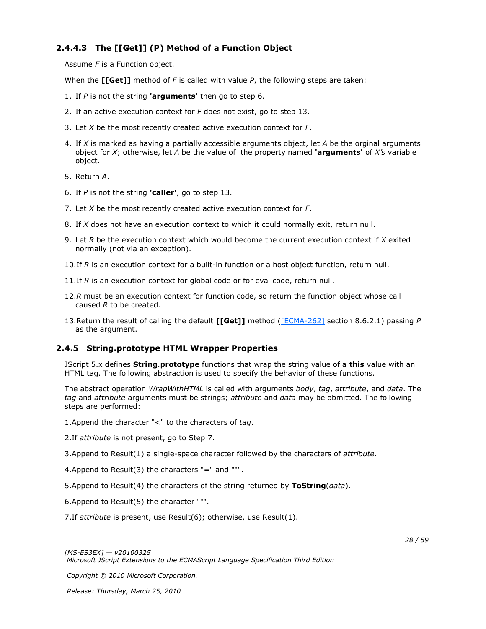## <span id="page-27-0"></span>**2.4.4.3 The [[Get]] (P) Method of a Function Object**

<span id="page-27-3"></span>Assume *F* is a Function object.

When the **[[Get]]** method of *F* is called with value *P*, the following steps are taken:

- 1. If *P* is not the string **'arguments'** then go to step 6.
- 2. If an active execution context for *F* does not exist, go to step 13.
- 3. Let *X* be the most recently created active execution context for *F*.
- 4. If *X* is marked as having a partially accessible arguments object, let *A* be the orginal arguments object for *X*; otherwise, let *A* be the value of the property named **'arguments'** of *X's* variable object.
- 5. Return *A*.
- 6. If *P* is not the string **'caller'**, go to step 13.
- 7. Let *X* be the most recently created active execution context for *F*.
- 8. If *X* does not have an execution context to which it could normally exit, return null.
- 9. Let *R* be the execution context which would become the current execution context if *X* exited normally (not via an exception).
- 10.If *R* is an execution context for a built-in function or a host object function, return null.
- 11.If *R* is an execution context for global code or for eval code, return null.
- 12.*R* must be an execution context for function code, so return the function object whose call caused *R* to be created.
- <span id="page-27-2"></span>13.Return the result of calling the default **[[Get]]** method [\(\[ECMA-262\]](http://go.microsoft.com/fwlink/?LinkId=153655) section 8.6.2.1) passing *P* as the argument.

## <span id="page-27-1"></span>**2.4.5 String.prototype HTML Wrapper Properties**

JScript 5.x defines **String**.**prototype** functions that wrap the string value of a **this** value with an HTML tag. The following abstraction is used to specify the behavior of these functions.

The abstract operation *WrapWithHTML* is called with arguments *body*, *tag*, *attribute*, and *data*. The *tag* and *attribute* arguments must be strings; *attribute* and *data* may be obmitted. The following steps are performed:

1.Append the character "<" to the characters of *tag*.

2.If *attribute* is not present, go to Step 7.

3.Append to Result(1) a single-space character followed by the characters of *attribute*.

4.Append to Result(3) the characters "=" and """.

5.Append to Result(4) the characters of the string returned by **ToString**(*data*).

6.Append to Result(5) the character """.

7.If *attribute* is present, use Result(6); otherwise, use Result(1).

*Copyright © 2010 Microsoft Corporation.*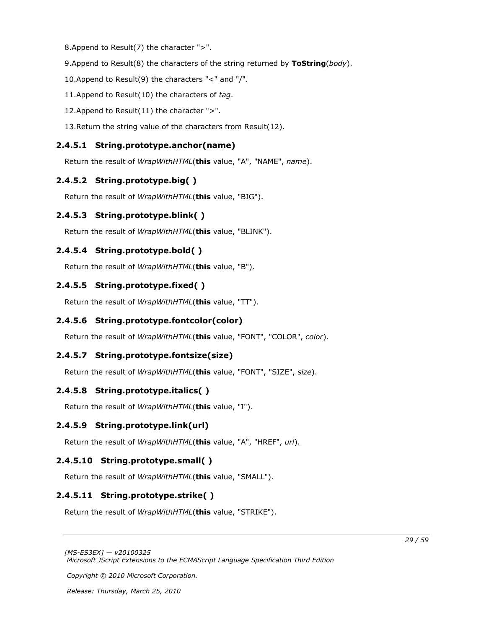8.Append to Result(7) the character ">".

9.Append to Result(8) the characters of the string returned by **ToString**(*body*).

10.Append to Result(9) the characters "<" and "/".

11.Append to Result(10) the characters of *tag*.

12.Append to Result(11) the character ">".

13.Return the string value of the characters from Result(12).

## <span id="page-28-0"></span>**2.4.5.1 String.prototype.anchor(name)**

<span id="page-28-12"></span><span id="page-28-11"></span>Return the result of *WrapWithHTML*(**this** value, "A", "NAME", *name*).

## <span id="page-28-1"></span>**2.4.5.2 String.prototype.big( )**

<span id="page-28-13"></span>Return the result of *WrapWithHTML*(**this** value, "BIG").

## <span id="page-28-2"></span>**2.4.5.3 String.prototype.blink( )**

<span id="page-28-14"></span>Return the result of *WrapWithHTML*(**this** value, "BLINK").

## <span id="page-28-3"></span>**2.4.5.4 String.prototype.bold( )**

<span id="page-28-15"></span>Return the result of *WrapWithHTML*(**this** value, "B").

## <span id="page-28-4"></span>**2.4.5.5 String.prototype.fixed( )**

<span id="page-28-16"></span>Return the result of *WrapWithHTML*(**this** value, "TT").

## <span id="page-28-5"></span>**2.4.5.6 String.prototype.fontcolor(color)**

<span id="page-28-17"></span>Return the result of *WrapWithHTML*(**this** value, "FONT", "COLOR", *color*).

## <span id="page-28-6"></span>**2.4.5.7 String.prototype.fontsize(size)**

<span id="page-28-18"></span>Return the result of *WrapWithHTML*(**this** value, "FONT", "SIZE", *size*).

## <span id="page-28-7"></span>**2.4.5.8 String.prototype.italics( )**

Return the result of *WrapWithHTML*(**this** value, "I").

## <span id="page-28-8"></span>**2.4.5.9 String.prototype.link(url)**

<span id="page-28-20"></span><span id="page-28-19"></span>Return the result of *WrapWithHTML*(**this** value, "A", "HREF", *url*).

## <span id="page-28-9"></span>**2.4.5.10 String.prototype.small( )**

<span id="page-28-21"></span>Return the result of *WrapWithHTML*(**this** value, "SMALL").

## <span id="page-28-10"></span>**2.4.5.11 String.prototype.strike( )**

Return the result of *WrapWithHTML*(**this** value, "STRIKE").

*[MS-ES3EX] — v20100325 Microsoft JScript Extensions to the ECMAScript Language Specification Third Edition* 

*Copyright © 2010 Microsoft Corporation.*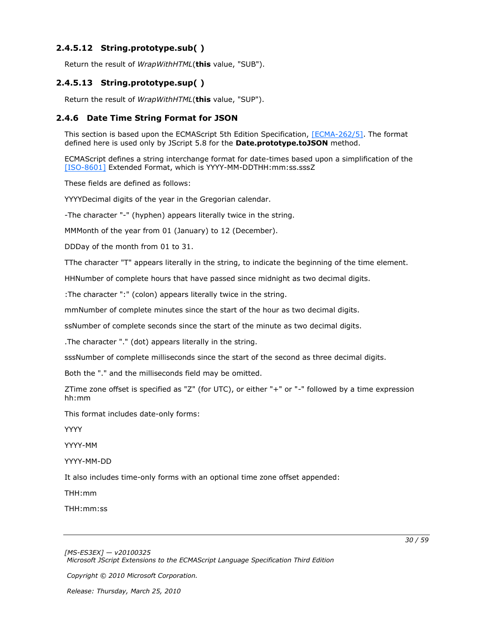## <span id="page-29-0"></span>**2.4.5.12 String.prototype.sub( )**

<span id="page-29-5"></span><span id="page-29-4"></span>Return the result of *WrapWithHTML*(**this** value, "SUB").

## <span id="page-29-1"></span>**2.4.5.13 String.prototype.sup( )**

<span id="page-29-3"></span>Return the result of *WrapWithHTML*(**this** value, "SUP").

### <span id="page-29-2"></span>**2.4.6 Date Time String Format for JSON**

This section is based upon the ECMAScript 5th Edition Specification, [\[ECMA-262/5\].](http://go.microsoft.com/fwlink/?LinkId=185963) The format defined here is used only by JScript 5.8 for the **Date.prototype.toJSON** method.

ECMAScript defines a string interchange format for date-times based upon a simplification of the [\[ISO-8601\]](http://go.microsoft.com/fwlink/?LinkId=89920) Extended Format, which is YYYY-MM-DDTHH:mm:ss.sssZ

These fields are defined as follows:

YYYYDecimal digits of the year in the Gregorian calendar.

-The character "-" (hyphen) appears literally twice in the string.

MMMonth of the year from 01 (January) to 12 (December).

DDDay of the month from 01 to 31.

TThe character "T" appears literally in the string, to indicate the beginning of the time element.

HHNumber of complete hours that have passed since midnight as two decimal digits.

:The character ":" (colon) appears literally twice in the string.

mmNumber of complete minutes since the start of the hour as two decimal digits.

ssNumber of complete seconds since the start of the minute as two decimal digits.

.The character "." (dot) appears literally in the string.

sssNumber of complete milliseconds since the start of the second as three decimal digits.

Both the "." and the milliseconds field may be omitted.

ZTime zone offset is specified as "Z" (for UTC), or either "+" or "-" followed by a time expression hh:mm

This format includes date-only forms:

YYYY

YYYY-MM

YYYY-MM-DD

It also includes time-only forms with an optional time zone offset appended:

THH:mm

THH:mm:ss

*Copyright © 2010 Microsoft Corporation.*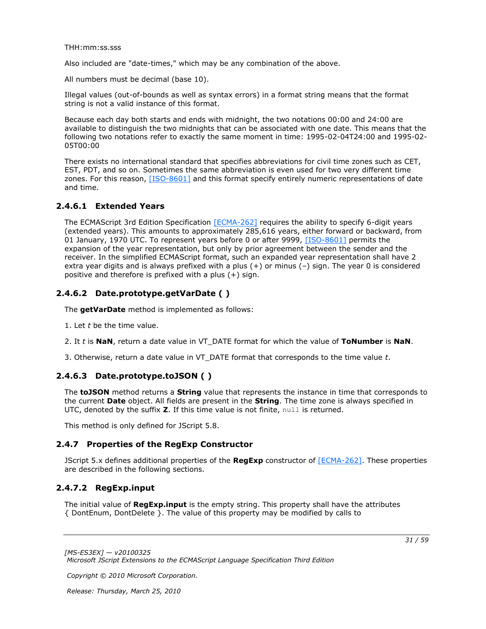THH:mm:ss.sss

Also included are "date-times," which may be any combination of the above.

All numbers must be decimal (base 10).

Illegal values (out-of-bounds as well as syntax errors) in a format string means that the format string is not a valid instance of this format.

Because each day both starts and ends with midnight, the two notations 00:00 and 24:00 are available to distinguish the two midnights that can be associated with one date. This means that the following two notations refer to exactly the same moment in time: 1995-02-04T24:00 and 1995-02- 05T00:00

There exists no international standard that specifies abbreviations for civil time zones such as CET, EST, PDT, and so on. Sometimes the same abbreviation is even used for two very different time zones. For this reason, [\[ISO-8601\]](http://go.microsoft.com/fwlink/?LinkId=89920) and this format specify entirely numeric representations of date and time.

## <span id="page-30-0"></span>**2.4.6.1 Extended Years**

<span id="page-30-6"></span>The ECMAScript 3rd Edition Specification [\[ECMA-262\]](http://go.microsoft.com/fwlink/?LinkId=153655) requires the ability to specify 6-digit years (extended years). This amounts to approximately 285,616 years, either forward or backward, from 01 January, 1970 UTC. To represent years before 0 or after 9999, [\[ISO-8601\]](http://go.microsoft.com/fwlink/?LinkId=89920) permits the expansion of the year representation, but only by prior agreement between the sender and the receiver. In the simplified ECMAScript format, such an expanded year representation shall have 2 extra year digits and is always prefixed with a plus (+) or minus (–) sign. The year 0 is considered positive and therefore is prefixed with a plus (+) sign.

## <span id="page-30-1"></span>**2.4.6.2 Date.prototype.getVarDate ( )**

<span id="page-30-7"></span>The **getVarDate** method is implemented as follows:

- 1. Let *t* be the time value.
- 2. It *t* is **NaN**, return a date value in VT\_DATE format for which the value of **ToNumber** is **NaN**.
- <span id="page-30-8"></span>3. Otherwise, return a date value in VT\_DATE format that corresponds to the time value *t*.

## <span id="page-30-2"></span>**2.4.6.3 Date.prototype.toJSON ( )**

The **toJSON** method returns a **String** value that represents the instance in time that corresponds to the current **Date** object. All fields are present in the **String**. The time zone is always specified in UTC, denoted by the suffix **Z**. If this time value is not finite, null is returned.

<span id="page-30-5"></span>This method is only defined for JScript 5.8.

## <span id="page-30-3"></span>**2.4.7 Properties of the RegExp Constructor**

JScript 5.x defines additional properties of the **RegExp** constructor of [\[ECMA-262\].](http://go.microsoft.com/fwlink/?LinkId=153655) These properties are described in the following sections.

## <span id="page-30-4"></span>**2.4.7.2 RegExp.input**

<span id="page-30-9"></span>The initial value of **RegExp.input** is the empty string. This property shall have the attributes { DontEnum, DontDelete }. The value of this property may be modified by calls to

*Copyright © 2010 Microsoft Corporation.*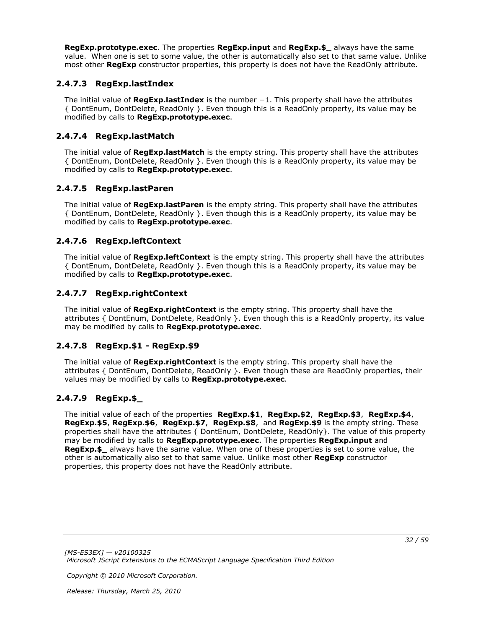**RegExp.prototype.exec**. The properties **RegExp.input** and **RegExp.\$\_** always have the same value. When one is set to some value, the other is automatically also set to that same value. Unlike most other **RegExp** constructor properties, this property is does not have the ReadOnly attribute.

## <span id="page-31-0"></span>**2.4.7.3 RegExp.lastIndex**

<span id="page-31-7"></span>The initial value of **RegExp.lastIndex** is the number −1. This property shall have the attributes { DontEnum, DontDelete, ReadOnly }. Even though this is a ReadOnly property, its value may be modified by calls to **RegExp.prototype.exec**.

## <span id="page-31-1"></span>**2.4.7.4 RegExp.lastMatch**

<span id="page-31-8"></span>The initial value of **RegExp.lastMatch** is the empty string. This property shall have the attributes { DontEnum, DontDelete, ReadOnly }. Even though this is a ReadOnly property, its value may be modified by calls to **RegExp.prototype.exec**.

## <span id="page-31-2"></span>**2.4.7.5 RegExp.lastParen**

<span id="page-31-9"></span>The initial value of **RegExp.lastParen** is the empty string. This property shall have the attributes { DontEnum, DontDelete, ReadOnly }. Even though this is a ReadOnly property, its value may be modified by calls to **RegExp.prototype.exec**.

## <span id="page-31-3"></span>**2.4.7.6 RegExp.leftContext**

<span id="page-31-10"></span>The initial value of **RegExp.leftContext** is the empty string. This property shall have the attributes { DontEnum, DontDelete, ReadOnly }. Even though this is a ReadOnly property, its value may be modified by calls to **RegExp.prototype.exec**.

## <span id="page-31-4"></span>**2.4.7.7 RegExp.rightContext**

<span id="page-31-13"></span>The initial value of **RegExp.rightContext** is the empty string. This property shall have the attributes { DontEnum, DontDelete, ReadOnly }. Even though this is a ReadOnly property, its value may be modified by calls to **RegExp.prototype.exec**.

## <span id="page-31-5"></span>**2.4.7.8 RegExp.\$1 - RegExp.\$9**

<span id="page-31-12"></span>The initial value of **RegExp.rightContext** is the empty string. This property shall have the attributes { DontEnum, DontDelete, ReadOnly }. Even though these are ReadOnly properties, their values may be modified by calls to **RegExp.prototype.exec**.

## <span id="page-31-6"></span>**2.4.7.9 RegExp.\$\_**

<span id="page-31-11"></span>The initial value of each of the properties **RegExp.\$1**, **RegExp.\$2**, **RegExp.\$3**, **RegExp.\$4**, **RegExp.\$5**, **RegExp.\$6**, **RegExp.\$7**, **RegExp.\$8**, and **RegExp.\$9** is the empty string. These properties shall have the attributes { DontEnum, DontDelete, ReadOnly}. The value of this property may be modified by calls to **RegExp.prototype.exec**. The properties **RegExp.input** and **RegExp.\$\_** always have the same value. When one of these properties is set to some value, the other is automatically also set to that same value. Unlike most other **RegExp** constructor properties, this property does not have the ReadOnly attribute.

*Copyright © 2010 Microsoft Corporation.*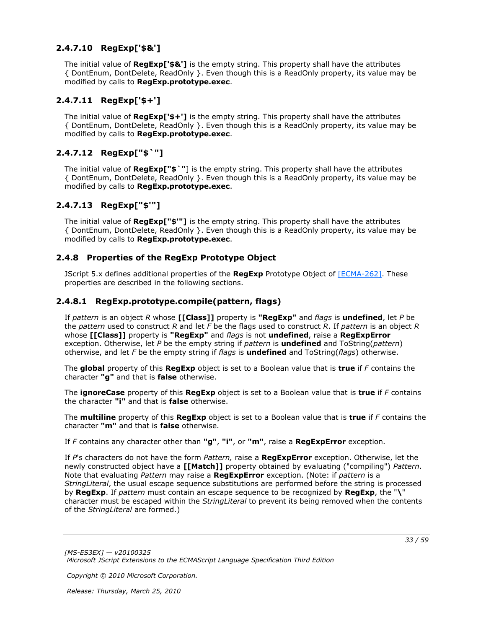## <span id="page-32-0"></span>**2.4.7.10 RegExp['\$&']**

<span id="page-32-9"></span>The initial value of **RegExp['\$&']** is the empty string. This property shall have the attributes { DontEnum, DontDelete, ReadOnly }. Even though this is a ReadOnly property, its value may be modified by calls to **RegExp.prototype.exec**.

## <span id="page-32-1"></span>**2.4.7.11 RegExp['\$+']**

<span id="page-32-10"></span>The initial value of **RegExp['\$+']** is the empty string. This property shall have the attributes { DontEnum, DontDelete, ReadOnly }. Even though this is a ReadOnly property, its value may be modified by calls to **RegExp.prototype.exec**.

## <span id="page-32-2"></span>**2.4.7.12 RegExp["\$`"]**

<span id="page-32-7"></span>The initial value of **RegExp["\$`"**] is the empty string. This property shall have the attributes { DontEnum, DontDelete, ReadOnly }. Even though this is a ReadOnly property, its value may be modified by calls to **RegExp.prototype.exec**.

## <span id="page-32-3"></span>**2.4.7.13 RegExp["\$'"]**

<span id="page-32-8"></span>The initial value of **RegExp["\$'"]** is the empty string. This property shall have the attributes { DontEnum, DontDelete, ReadOnly }. Even though this is a ReadOnly property, its value may be modified by calls to **RegExp.prototype.exec**.

## <span id="page-32-4"></span>**2.4.8 Properties of the RegExp Prototype Object**

<span id="page-32-6"></span>JScript 5.x defines additional properties of the **RegExp** Prototype Object of [\[ECMA-262\].](http://go.microsoft.com/fwlink/?LinkId=153655) These properties are described in the following sections.

## <span id="page-32-5"></span>**2.4.8.1 RegExp.prototype.compile(pattern, flags)**

<span id="page-32-11"></span>If *pattern* is an object *R* whose **[[Class]]** property is **"RegExp"** and *flags* is **undefined**, let *P* be the *pattern* used to construct *R* and let *F* be the flags used to construct *R*. If *pattern* is an object *R* whose **[[Class]]** property is **"RegExp"** and *flags* is not **undefined**, raise a **RegExpError** exception. Otherwise, let *P* be the empty string if *pattern* is **undefined** and ToString(*pattern*) otherwise, and let *F* be the empty string if *flags* is **undefined** and ToString(*flags*) otherwise.

The **global** property of this **RegExp** object is set to a Boolean value that is **true** if *F* contains the character **"g"** and that is **false** otherwise.

The **ignoreCase** property of this **RegExp** object is set to a Boolean value that is **true** if *F* contains the character **"i"** and that is **false** otherwise.

The **multiline** property of this **RegExp** object is set to a Boolean value that is **true** if *F* contains the character **"m"** and that is **false** otherwise.

If *F* contains any character other than **"g"**, **"i"**, or **"m"**, raise a **RegExpError** exception.

If *P*'s characters do not have the form *Pattern,* raise a **RegExpError** exception. Otherwise, let the newly constructed object have a **[[Match]]** property obtained by evaluating ("compiling") *Pattern*. Note that evaluating *Pattern* may raise a **RegExpError** exception. (Note: if *pattern* is a *StringLiteral*, the usual escape sequence substitutions are performed before the string is processed by **RegExp**. If *pattern* must contain an escape sequence to be recognized by **RegExp**, the "**\**" character must be escaped within the *StringLiteral* to prevent its being removed when the contents of the *StringLiteral* are formed.)

*[MS-ES3EX] — v20100325 Microsoft JScript Extensions to the ECMAScript Language Specification Third Edition* 

*Copyright © 2010 Microsoft Corporation.*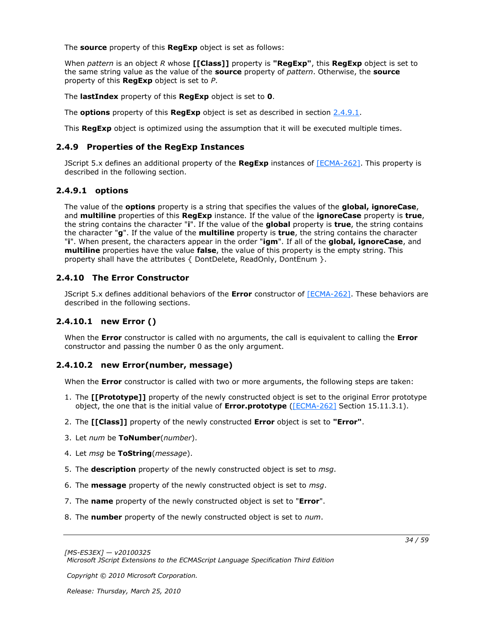The **source** property of this **RegExp** object is set as follows:

When *pattern* is an object *R* whose **[[Class]]** property is **"RegExp"**, this **RegExp** object is set to the same string value as the value of the **source** property of *pattern*. Otherwise, the **source** property of this **RegExp** object is set to *P*.

The **lastIndex** property of this **RegExp** object is set to **0**.

The **options** property of this **RegExp** object is set as described in section [2.4.9.1.](#page-33-7)

This **RegExp** object is optimized using the assumption that it will be executed multiple times.

### <span id="page-33-0"></span>**2.4.9 Properties of the RegExp Instances**

<span id="page-33-5"></span>JScript 5.x defines an additional property of the **RegExp** instances of [\[ECMA-262\].](http://go.microsoft.com/fwlink/?LinkId=153655) This property is described in the following section.

## <span id="page-33-1"></span>**2.4.9.1 options**

<span id="page-33-7"></span>The value of the **options** property is a string that specifies the values of the **global, ignoreCase**, and **multiline** properties of this **RegExp** instance. If the value of the **ignoreCase** property is **true**, the string contains the character "**i**". If the value of the **global** property is **true**, the string contains the character "**g**". If the value of the **multiline** property is **true**, the string contains the character "**i**". When present, the characters appear in the order "**igm**". If all of the **global, ignoreCase**, and **multiline** properties have the value **false**, the value of this property is the empty string. This property shall have the attributes { DontDelete, ReadOnly, DontEnum }.

## <span id="page-33-2"></span>**2.4.10 The Error Constructor**

<span id="page-33-6"></span>JScript 5.x defines additional behaviors of the **Error** constructor of [\[ECMA-262\].](http://go.microsoft.com/fwlink/?LinkId=153655) These behaviors are described in the following sections.

## <span id="page-33-3"></span>**2.4.10.1 new Error ()**

<span id="page-33-8"></span>When the **Error** constructor is called with no arguments, the call is equivalent to calling the **Error** constructor and passing the number 0 as the only argument.

### <span id="page-33-4"></span>**2.4.10.2 new Error(number, message)**

<span id="page-33-9"></span>When the **Error** constructor is called with two or more arguments, the following steps are taken:

- 1. The **[[Prototype]]** property of the newly constructed object is set to the original Error prototype object, the one that is the initial value of **Error.prototype** [\(\[ECMA-262\]](http://go.microsoft.com/fwlink/?LinkId=153655) Section 15.11.3.1).
- 2. The **[[Class]]** property of the newly constructed **Error** object is set to **"Error"**.
- 3. Let *num* be **ToNumber**(*number*).
- 4. Let *msg* be **ToString**(*message*).
- 5. The **description** propert*y* of the newly constructed object is set to *msg*.
- 6. The **message** property of the newly constructed object is set to *msg*.
- 7. The **name** property of the newly constructed object is set to "**Error**".
- 8. The **number** property of the newly constructed object is set to *num*.

*Copyright © 2010 Microsoft Corporation.*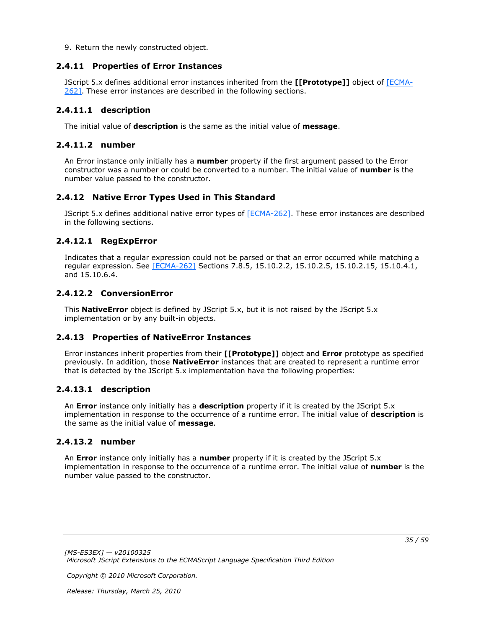<span id="page-34-9"></span>9. Return the newly constructed object.

### <span id="page-34-0"></span>**2.4.11 Properties of Error Instances**

JScript 5.x defines additional error instances inherited from the **[[Prototype]]** object of [\[ECMA-](http://go.microsoft.com/fwlink/?LinkId=153655)[262\].](http://go.microsoft.com/fwlink/?LinkId=153655) These error instances are described in the following sections.

### <span id="page-34-1"></span>**2.4.11.1 description**

<span id="page-34-14"></span>The initial value of **description** is the same as the initial value of **message**.

### <span id="page-34-2"></span>**2.4.11.2 number**

An Error instance only initially has a **number** property if the first argument passed to the Error constructor was a number or could be converted to a number. The initial value of **number** is the number value passed to the constructor.

## <span id="page-34-3"></span>**2.4.12 Native Error Types Used in This Standard**

<span id="page-34-10"></span>JScript 5.x defines additional native error types of  $[ECMA-262]$ . These error instances are described in the following sections.

## <span id="page-34-4"></span>**2.4.12.1 RegExpError**

<span id="page-34-12"></span>Indicates that a regular expression could not be parsed or that an error occurred while matching a regular expression. See [\[ECMA-262\]](http://go.microsoft.com/fwlink/?LinkId=153655) Sections 7.8.5, 15.10.2.2, 15.10.2.5, 15.10.2.15, 15.10.4.1, and 15.10.6.4.

## <span id="page-34-5"></span>**2.4.12.2 ConversionError**

<span id="page-34-13"></span>This **NativeError** object is defined by JScript 5.x, but it is not raised by the JScript 5.x implementation or by any built-in objects.

### <span id="page-34-6"></span>**2.4.13 Properties of NativeError Instances**

<span id="page-34-11"></span>Error instances inherit properties from their **[[Prototype]]** object and **Error** prototype as specified previously. In addition, those **NativeError** instances that are created to represent a runtime error that is detected by the JScript 5.x implementation have the following properties:

### <span id="page-34-7"></span>**2.4.13.1 description**

<span id="page-34-15"></span>An **Error** instance only initially has a **description** property if it is created by the JScript 5.x implementation in response to the occurrence of a runtime error. The initial value of **description** is the same as the initial value of **message**.

### <span id="page-34-8"></span>**2.4.13.2 number**

<span id="page-34-16"></span>An **Error** instance only initially has a **number** property if it is created by the JScript 5.x implementation in response to the occurrence of a runtime error. The initial value of **number** is the number value passed to the constructor.

*Copyright © 2010 Microsoft Corporation.*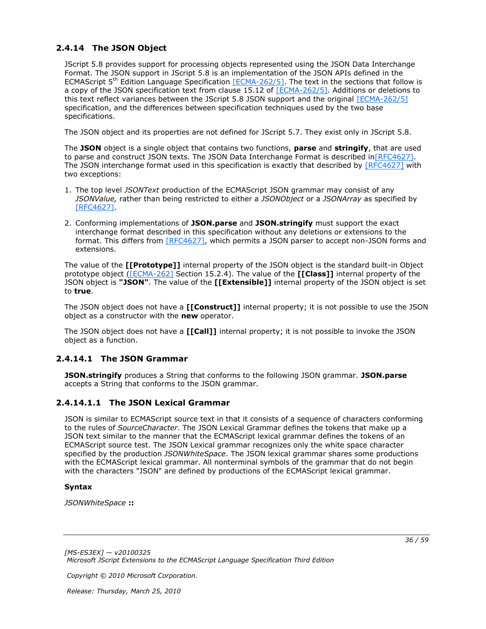## <span id="page-35-0"></span>**2.4.14 The JSON Object**

<span id="page-35-3"></span>JScript 5.8 provides support for processing objects represented using the JSON Data Interchange Format. The JSON support in JScript 5.8 is an implementation of the JSON APIs defined in the ECMAScript  $5<sup>th</sup>$  Edition Language Specification [\[ECMA-262/5\].](http://go.microsoft.com/fwlink/?LinkId=185963) The text in the sections that follow is a copy of the JSON specification text from clause 15.12 of [\[ECMA-262/5\].](http://go.microsoft.com/fwlink/?LinkId=185963) Additions or deletions to this text reflect variances between the JScript 5.8 JSON support and the original [\[ECMA-262/5\]](http://go.microsoft.com/fwlink/?LinkId=185963) specification, and the differences between specification techniques used by the two base specifications.

The JSON object and its properties are not defined for JScript 5.7. They exist only in JScript 5.8.

The **JSON** object is a single object that contains two functions, **parse** and **stringify**, that are used to parse and construct JSON texts. The JSON Data Interchange Format is described in [RFC4627]. The JSON interchange format used in this specification is exactly that described by [\[RFC4627\]](http://go.microsoft.com/fwlink/?LinkId=151303) with two exceptions:

- 1. The top level *JSONText* production of the ECMAScript JSON grammar may consist of any *JSONValue,* rather than being restricted to either a *JSONObject* or a *JSONArray* as specified by [\[RFC4627\].](http://go.microsoft.com/fwlink/?LinkId=151303)
- 2. Conforming implementations of **JSON.parse** and **JSON.stringify** must support the exact interchange format described in this specification without any deletions or extensions to the format. This differs from [\[RFC4627\],](http://go.microsoft.com/fwlink/?LinkId=151303) which permits a JSON parser to accept non-JSON forms and extensions.

The value of the **[[Prototype]]** internal property of the JSON object is the standard built-in Object prototype object [\(\[ECMA-262\]](http://go.microsoft.com/fwlink/?LinkId=153655) Section 15.2.4). The value of the **[[Class]]** internal property of the JSON object is **"JSON"**. The value of the **[[Extensible]]** internal property of the JSON object is set to **true**.

The JSON object does not have a **[[Construct]]** internal property; it is not possible to use the JSON object as a constructor with the **new** operator.

The JSON object does not have a **[[Call]]** internal property; it is not possible to invoke the JSON object as a function.

## <span id="page-35-1"></span>**2.4.14.1 The JSON Grammar**

<span id="page-35-4"></span>**JSON.stringify** produces a String that conforms to the following JSON grammar. **JSON.parse** accepts a String that conforms to the JSON grammar.

## <span id="page-35-2"></span>**2.4.14.1.1 The JSON Lexical Grammar**

<span id="page-35-5"></span>JSON is similar to ECMAScript source text in that it consists of a sequence of characters conforming to the rules of *SourceCharacter*. The JSON Lexical Grammar defines the tokens that make up a JSON text similar to the manner that the ECMAScript lexical grammar defines the tokens of an ECMAScript source test. The JSON Lexical grammar recognizes only the white space character specified by the production *JSONWhiteSpace*. The JSON lexical grammar shares some productions with the ECMAScript lexical grammar. All nonterminal symbols of the grammar that do not begin with the characters "JSON" are defined by productions of the ECMAScript lexical grammar.

### **Syntax**

*JSONWhiteSpace* **::**

*[MS-ES3EX] — v20100325 Microsoft JScript Extensions to the ECMAScript Language Specification Third Edition* 

*Copyright © 2010 Microsoft Corporation.*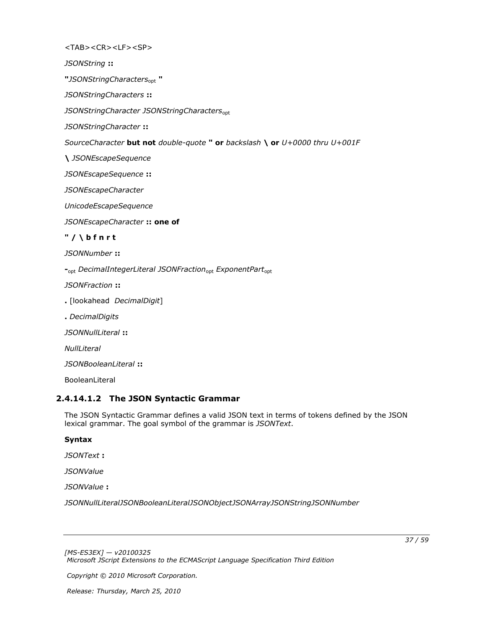<TAB><CR><LF><SP>

*JSONString* **::**

**"***JSONStringCharacters*opt **"**

*JSONStringCharacters* **::**

JSONStringCharacter JSONStringCharacters<sub>opt</sub>

*JSONStringCharacter* **::**

*SourceCharacter* **but not** *double-quote* **" or** *backslash* **\ or** *U+0000 thru U+001F*

**\** *JSONEscapeSequence*

*JSONEscapeSequence* **::**

*JSONEscapeCharacter*

*UnicodeEscapeSequence*

*JSONEscapeCharacter* **:: one of**

**" / \ b f n r t**

*JSONNumber* **::**

**-**opt *DecimalIntegerLiteral JSONFraction*opt *ExponentPart*opt

*JSONFraction* **::**

- **.** [lookahead *DecimalDigit*]
- **.** *DecimalDigits*

*JSONNullLiteral* **::**

*NullLiteral*

*JSONBooleanLiteral* **::**

<span id="page-36-1"></span>BooleanLiteral

### <span id="page-36-0"></span>**2.4.14.1.2 The JSON Syntactic Grammar**

The JSON Syntactic Grammar defines a valid JSON text in terms of tokens defined by the JSON lexical grammar. The goal symbol of the grammar is *JSONText*.

#### **Syntax**

*JSONText* **:**

*JSONValue*

*JSONValue* **:**

*JSONNullLiteralJSONBooleanLiteralJSONObjectJSONArrayJSONStringJSONNumber*

*Copyright © 2010 Microsoft Corporation.*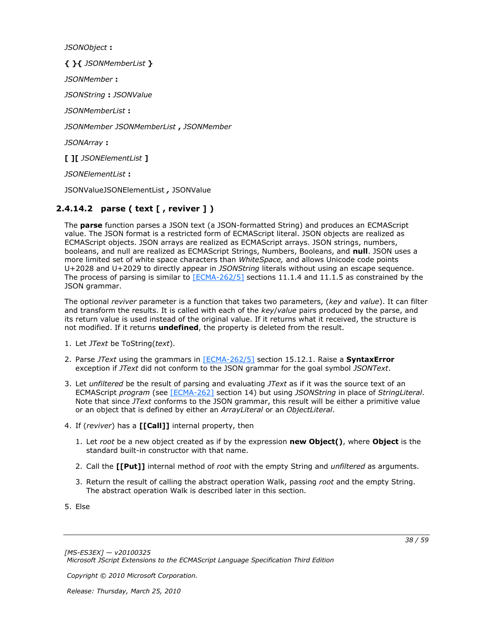*JSONObject* **:**

**{ }{** *JSONMemberList* **}** *JSONMember* **:** *JSONString* **:** *JSONValue JSONMemberList* **:** *JSONMember JSONMemberList* **,** *JSONMember JSONArray* **:**

**[ ][** *JSONElementList* **]**

*JSONElementList* **:**

<span id="page-37-1"></span>JSONValueJSONElementList *,* JSONValue

## <span id="page-37-0"></span>**2.4.14.2 parse ( text [ , reviver ] )**

The **parse** function parses a JSON text (a JSON-formatted String) and produces an ECMAScript value. The JSON format is a restricted form of ECMAScript literal. JSON objects are realized as ECMAScript objects. JSON arrays are realized as ECMAScript arrays. JSON strings, numbers, booleans, and null are realized as ECMAScript Strings, Numbers, Booleans, and **null**. JSON uses a more limited set of white space characters than *WhiteSpace,* and allows Unicode code points U+2028 and U+2029 to directly appear in *JSONString* literals without using an escape sequence. The process of parsing is similar to  $[ECMA-262/5]$  sections 11.1.4 and 11.1.5 as constrained by the JSON grammar.

The optional *reviver* parameter is a function that takes two parameters, (*key* and *value*). It can filter and transform the results. It is called with each of the *key*/*value* pairs produced by the parse, and its return value is used instead of the original value. If it returns what it received, the structure is not modified. If it returns **undefined**, the property is deleted from the result.

- 1. Let *JText* be ToString(*text*).
- 2. Parse *JText* using the grammars in [\[ECMA-262/5\]](http://go.microsoft.com/fwlink/?LinkId=185963) section 15.12.1. Raise a **SyntaxError** exception if *JText* did not conform to the JSON grammar for the goal symbol *JSONText*.
- 3. Let *unfiltered* be the result of parsing and evaluating *JText* as if it was the source text of an ECMAScript *program* (see [\[ECMA-262\]](http://go.microsoft.com/fwlink/?LinkId=153655) section 14) but using *JSONString* in place of *StringLiteral*. Note that since *JText* conforms to the JSON grammar, this result will be either a primitive value or an object that is defined by either an *ArrayLiteral* or an *ObjectLiteral*.
- 4. If (*reviver*) has a **[[Call]]** internal property, then
	- 1. Let *root* be a new object created as if by the expression **new Object()**, where **Object** is the standard built-in constructor with that name.
	- 2. Call the **[[Put]]** internal method of *root* with the empty String and *unfiltered* as arguments.
	- 3. Return the result of calling the abstract operation Walk, passing *root* and the empty String. The abstract operation Walk is described later in this section.

5. Else

*Copyright © 2010 Microsoft Corporation.*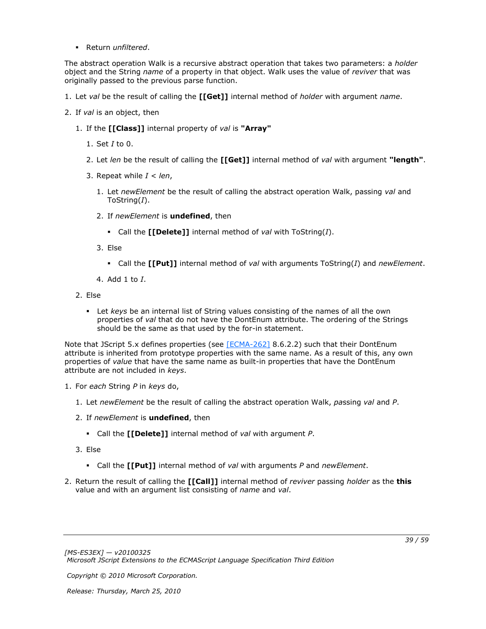Return *unfiltered*.

The abstract operation Walk is a recursive abstract operation that takes two parameters: a *holder* object and the String *name* of a property in that object. Walk uses the value of *reviver* that was originally passed to the previous parse function.

- 1. Let *val* be the result of calling the **[[Get]]** internal method of *holder* with argument *name*.
- 2. If *val* is an object, then
	- 1. If the **[[Class]]** internal property of *val* is **"Array"**
		- 1. Set *I* to 0.
		- 2. Let *len* be the result of calling the **[[Get]]** internal method of *val* with argument **"length"**.
		- 3. Repeat while *I* < *len*,
			- 1. Let *newElement* be the result of calling the abstract operation Walk, passing *val* and ToString(*I*).
			- 2. If *newElement* is **undefined**, then
				- Call the **[[Delete]]** internal method of *val* with ToString(*I*).
			- 3. Else
				- Call the **[[Put]]** internal method of *val* with arguments ToString(*I*) and *newElement*.
			- 4. Add 1 to *I*.
	- 2. Else
		- Let *keys* be an internal list of String values consisting of the names of all the own properties of *val* that do not have the DontEnum attribute. The ordering of the Strings should be the same as that used by the for-in statement.

Note that JScript 5.x defines properties (see [\[ECMA-262\]](http://go.microsoft.com/fwlink/?LinkId=153655) 8.6.2.2) such that their DontEnum attribute is inherited from prototype properties with the same name. As a result of this, any own properties of *value* that have the same name as built-in properties that have the DontEnum attribute are not included in *keys*.

- 1. For *each* String *P* in *keys* do,
	- 1. Let *newElement* be the result of calling the abstract operation Walk, *pa*ssing *val* and *P*.
	- 2. If *newElement* is **undefined**, then
		- Call the **[[Delete]]** internal method of *val* with argument *P*.
	- 3. Else
		- Call the **[[Put]]** internal method of *val* with arguments *P* and *newElement*.
- 2. Return the result of calling the **[[Call]]** internal method of *reviver* passing *holder* as the **this** value and with an argument list consisting of *name* and *val*.

*Copyright © 2010 Microsoft Corporation.*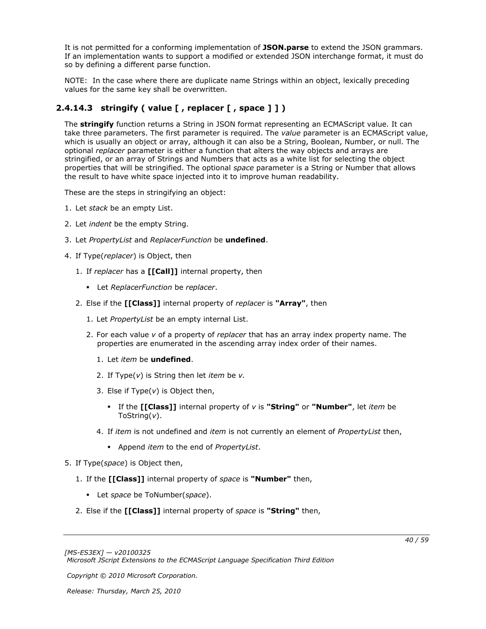It is not permitted for a conforming implementation of **JSON.parse** to extend the JSON grammars. If an implementation wants to support a modified or extended JSON interchange format, it must do so by defining a different parse function.

<span id="page-39-1"></span>NOTE: In the case where there are duplicate name Strings within an object, lexically preceding values for the same key shall be overwritten.

## <span id="page-39-0"></span>**2.4.14.3 stringify ( value [ , replacer [ , space ] ] )**

The **stringify** function returns a String in JSON format representing an ECMAScript value. It can take three parameters. The first parameter is required. The *value* parameter is an ECMAScript value, which is usually an object or array, although it can also be a String, Boolean, Number, or null. The optional *replacer* parameter is either a function that alters the way objects and arrays are stringified, or an array of Strings and Numbers that acts as a white list for selecting the object properties that will be stringified. The optional *space* parameter is a String or Number that allows the result to have white space injected into it to improve human readability.

These are the steps in stringifying an object:

- 1. Let *stack* be an empty List.
- 2. Let *indent* be the empty String.
- 3. Let *PropertyList* and *ReplacerFunction* be **undefined**.
- 4. If Type(*replacer*) is Object, then
	- 1. If *replacer* has a **[[Call]]** internal property, then
		- Let *ReplacerFunction* be *replacer*.
	- 2. Else if the **[[Class]]** internal property of *replacer* is **"Array"**, then
		- 1. Let *PropertyList* be an empty internal List.
		- 2. For each value *v* of a property of *replacer* that has an array index property name. The properties are enumerated in the ascending array index order of their names.
			- 1. Let *item* be **undefined**.
			- 2. If Type(*v*) is String then let *item* be *v.*
			- 3. Else if Type(*v*) is Object then,
				- If the **[[Class]]** internal property of *v* is **"String"** or **"Number"**, let *item* be ToString(*v*).
			- 4. If *item* is not undefined and *item* is not currently an element of *PropertyList* then,
				- Append *item* to the end of *PropertyList*.
- 5. If Type(*space*) is Object then,
	- 1. If the **[[Class]]** internal property of *space* is **"Number"** then,
		- Let *space* be ToNumber(*space*).
	- 2. Else if the **[[Class]]** internal property of *space* is **"String"** then,

*Copyright © 2010 Microsoft Corporation.*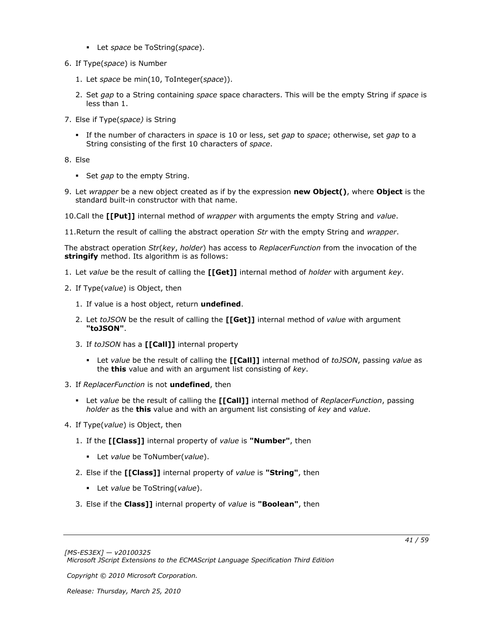- Let *space* be ToString(*space*).
- 6. If Type(*space*) is Number
	- 1. Let *space* be min(10, ToInteger(*space*)).
	- 2. Set *gap* to a String containing *space* space characters. This will be the empty String if *space* is less than 1.
- 7. Else if Type(*space)* is String
	- If the number of characters in *space* is 10 or less, set *gap* to *space*; otherwise, set *gap* to a String consisting of the first 10 characters of *space*.
- 8. Else
	- Set *gap* to the empty String.
- 9. Let *wrapper* be a new object created as if by the expression **new Object()**, where **Object** is the standard built-in constructor with that name.
- 10.Call the **[[Put]]** internal method of *wrapper* with arguments the empty String and *value*.
- 11.Return the result of calling the abstract operation *Str* with the empty String and *wrapper*.

The abstract operation *Str*(*key*, *holder*) has access to *ReplacerFunction* from the invocation of the **stringify** method. Its algorithm is as follows:

- 1. Let *value* be the result of calling the **[[Get]]** internal method of *holder* with argument *key*.
- 2. If Type(*value*) is Object, then
	- 1. If value is a host object, return **undefined**.
	- 2. Let *toJSON* be the result of calling the **[[Get]]** internal method of *value* with argument **"toJSON"**.
	- 3. If *toJSON* has a **[[Call]]** internal property
		- Let *value* be the result of calling the **[[Call]]** internal method of *toJSON*, passing *value* as the **this** value and with an argument list consisting of *key*.
- 3. If *ReplacerFunction* is not **undefined**, then
	- Let *value* be the result of calling the **[[Call]]** internal method of *ReplacerFunction*, passing *holder* as the **this** value and with an argument list consisting of *key* and *value*.
- 4. If Type(*value*) is Object, then
	- 1. If the **[[Class]]** internal property of *value* is **"Number"**, then
		- Let *value* be ToNumber(*value*).
	- 2. Else if the **[[Class]]** internal property of *value* is **"String"**, then
		- Let *value* be ToString(*value*).
	- 3. Else if the **Class]]** internal property of *value* is **"Boolean"**, then

*Copyright © 2010 Microsoft Corporation.*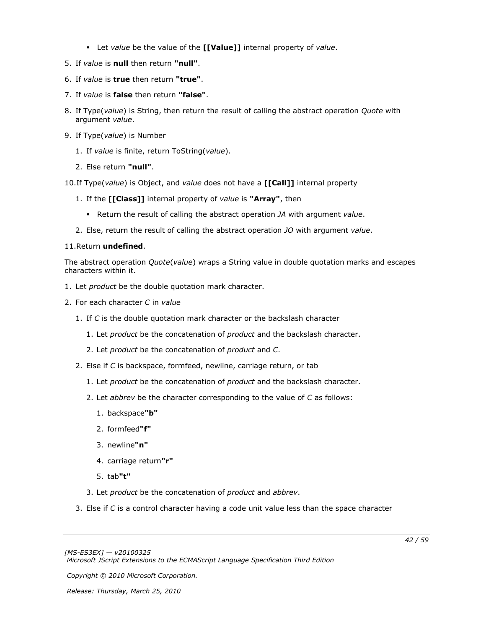- Let *value* be the value of the **[[Value]]** internal property of *value*.
- 5. If *value* is **null** then return **"null"**.
- 6. If *value* is **true** then return **"true"**.
- 7. If *value* is **false** then return **"false"**.
- 8. If Type(*value*) is String, then return the result of calling the abstract operation *Quote* with argument *value*.
- 9. If Type(*value*) is Number
	- 1. If *value* is finite, return ToString(*value*).
	- 2. Else return **"null"**.
- 10.If Type(*value*) is Object, and *value* does not have a **[[Call]]** internal property
	- 1. If the **[[Class]]** internal property of *value* is **"Array"**, then
		- Return the result of calling the abstract operation *JA* with argument *value*.
	- 2. Else, return the result of calling the abstract operation *JO* with argument *value*.

### 11.Return **undefined**.

The abstract operation *Quote*(*value*) wraps a String value in double quotation marks and escapes characters within it.

- 1. Let *product* be the double quotation mark character.
- 2. For each character *C* in *value*
	- 1. If *C* is the double quotation mark character or the backslash character
		- 1. Let *product* be the concatenation of *product* and the backslash character.
		- 2. Let *product* be the concatenation of *product* and *C*.
	- 2. Else if *C* is backspace, formfeed, newline, carriage return, or tab
		- 1. Let *product* be the concatenation of *product* and the backslash character.
		- 2. Let *abbrev* be the character corresponding to the value of *C* as follows:
			- 1. backspace**"b"**
			- 2. formfeed**"f"**
			- 3. newline**"n"**
			- 4. carriage return**"r"**
			- 5. tab**"t"**
		- 3. Let *product* be the concatenation of *product* and *abbrev*.
	- 3. Else if *C* is a control character having a code unit value less than the space character

*Copyright © 2010 Microsoft Corporation.*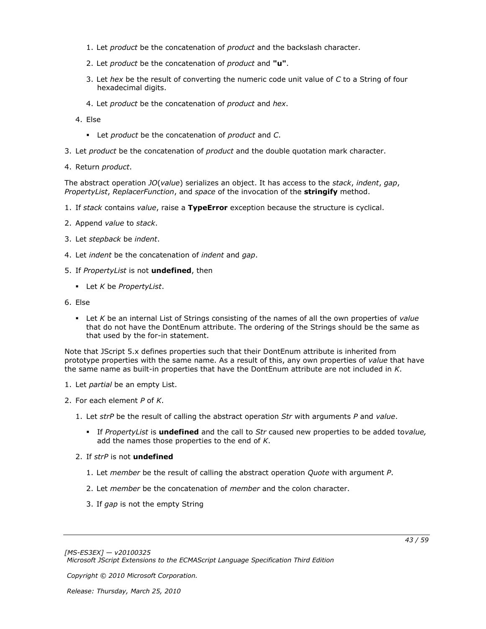- 1. Let *product* be the concatenation of *product* and the backslash character.
- 2. Let *product* be the concatenation of *product* and **"u"**.
- 3. Let *hex* be the result of converting the numeric code unit value of *C* to a String of four hexadecimal digits.
- 4. Let *product* be the concatenation of *product* and *hex*.
- 4. Else
	- Let *product* be the concatenation of *product* and *C*.
- 3. Let *product* be the concatenation of *product* and the double quotation mark character.
- 4. Return *product*.

The abstract operation *JO*(*value*) serializes an object. It has access to the *stack*, *indent*, *gap*, *PropertyList*, *ReplacerFunction*, and *space* of the invocation of the **stringify** method.

- 1. If *stack* contains *value*, raise a **TypeError** exception because the structure is cyclical.
- 2. Append *value* to *stack*.
- 3. Let *stepback* be *indent*.
- 4. Let *indent* be the concatenation of *indent* and *gap*.
- 5. If *PropertyList* is not **undefined**, then
	- Let *K* be *PropertyList*.
- 6. Else
	- Let *K* be an internal List of Strings consisting of the names of all the own properties of *value* that do not have the DontEnum attribute. The ordering of the Strings should be the same as that used by the for-in statement.

Note that JScript 5.x defines properties such that their DontEnum attribute is inherited from prototype properties with the same name. As a result of this, any own properties of *value* that have the same name as built-in properties that have the DontEnum attribute are not included in *K*.

- 1. Let *partial* be an empty List.
- 2. For each element *P* of *K*.
	- 1. Let *strP* be the result of calling the abstract operation *Str* with arguments *P* and *value*.
		- If *PropertyList* is **undefined** and the call to *Str* caused new properties to be added to*value,* add the names those properties to the end of *K*.
	- 2. If *strP* is not **undefined**
		- 1. Let *member* be the result of calling the abstract operation *Quote* with argument *P*.
		- 2. Let *member* be the concatenation of *member* and the colon character.
		- 3. If *gap* is not the empty String

*Copyright © 2010 Microsoft Corporation.*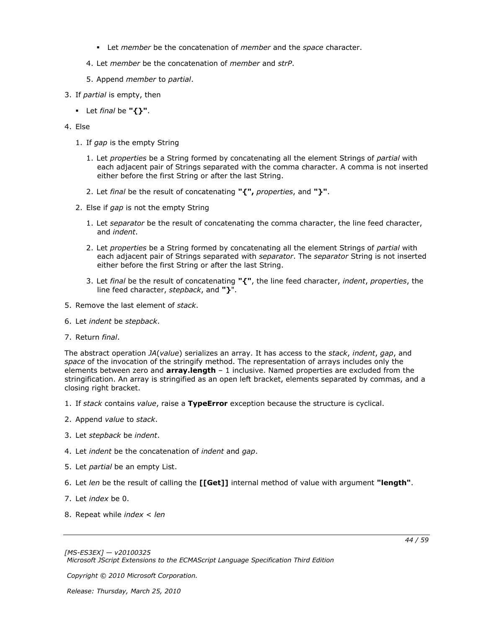- Let *member* be the concatenation of *member* and the *space* character.
- 4. Let *member* be the concatenation of *member* and *strP*.
- 5. Append *member* to *partial*.
- 3. If *partial* is empty, then
	- Let *final* be **"{}"**.

### 4. Else

- 1. If *gap* is the empty String
	- 1. Let *properties* be a String formed by concatenating all the element Strings of *partial* with each adjacent pair of Strings separated with the comma character. A comma is not inserted either before the first String or after the last String.
	- 2. Let *final* be the result of concatenating **"{",** *properties*, and **"}"**.
- 2. Else if *gap* is not the empty String
	- 1. Let *separator* be the result of concatenating the comma character, the line feed character, and *indent*.
	- 2. Let *properties* be a String formed by concatenating all the element Strings of *partial* with each adjacent pair of Strings separated with *separator*. The *separator* String is not inserted either before the first String or after the last String.
	- 3. Let *final* be the result of concatenating **"{"**, the line feed character, *indent*, *properties*, the line feed character, *stepback*, and **"}**".
- 5. Remove the last element of *stack*.
- 6. Let *indent* be *stepback*.
- 7. Return *final*.

The abstract operation *JA*(*value*) serializes an array. It has access to the *stack*, *indent*, *gap*, and *space* of the invocation of the stringify method. The representation of arrays includes only the elements between zero and **array.length** – 1 inclusive. Named properties are excluded from the stringification. An array is stringified as an open left bracket, elements separated by commas, and a closing right bracket.

- 1. If *stack* contains *value*, raise a **TypeError** exception because the structure is cyclical.
- 2. Append *value* to *stack*.
- 3. Let *stepback* be *indent*.
- 4. Let *indent* be the concatenation of *indent* and *gap*.
- 5. Let *partial* be an empty List.
- 6. Let *len* be the result of calling the **[[Get]]** internal method of value with argument **"length"**.
- 7. Let *index* be 0.
- 8. Repeat while *index* < *len*

*Copyright © 2010 Microsoft Corporation.*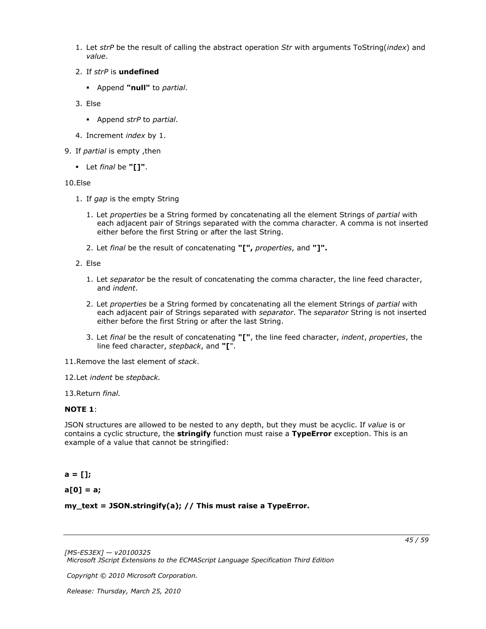- 1. Let *strP* be the result of calling the abstract operation *Str* with arguments ToString(*index*) and *value*.
- 2. If *strP* is **undefined**
	- Append **"null"** to *partial*.
- 3. Else
	- Append *strP* to *partial*.
- 4. Increment *index* by 1.
- 9. If *partial* is empty ,then
	- Let *final* be **"[]"**.

### 10.Else

- 1. If *gap* is the empty String
	- 1. Let *properties* be a String formed by concatenating all the element Strings of *partial* with each adjacent pair of Strings separated with the comma character. A comma is not inserted either before the first String or after the last String.
	- 2. Let *final* be the result of concatenating **"[",** *properties*, and **"]".**
- 2. Else
	- 1. Let *separator* be the result of concatenating the comma character, the line feed character, and *indent*.
	- 2. Let *properties* be a String formed by concatenating all the element Strings of *partial* with each adjacent pair of Strings separated with *separator*. The *separator* String is not inserted either before the first String or after the last String.
	- 3. Let *final* be the result of concatenating **"["**, the line feed character, *indent*, *properties*, the line feed character, *stepback*, and **"[**".

11.Remove the last element of *stack*.

12.Let *indent* be *stepback.*

13.Return *final.*

### **NOTE 1**:

JSON structures are allowed to be nested to any depth, but they must be acyclic. If *value* is or contains a cyclic structure, the **stringify** function must raise a **TypeError** exception. This is an example of a value that cannot be stringified:

## **a = [];**

**a[0] = a;**

### **my\_text = JSON.stringify(a); // This must raise a TypeError.**

*[MS-ES3EX] — v20100325 Microsoft JScript Extensions to the ECMAScript Language Specification Third Edition* 

*Copyright © 2010 Microsoft Corporation.*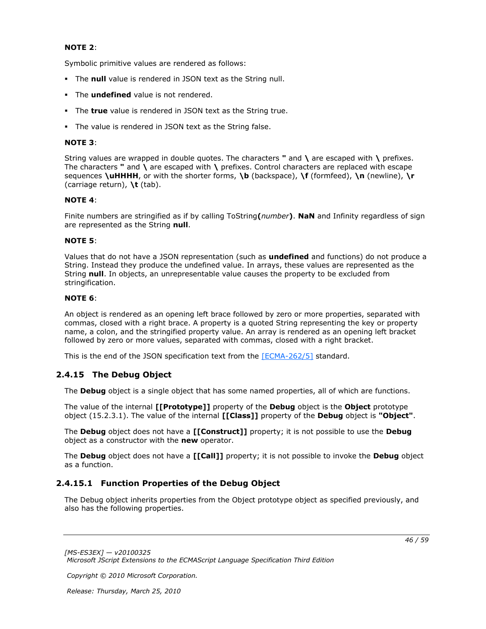#### **NOTE 2**:

Symbolic primitive values are rendered as follows:

- The **null** value is rendered in JSON text as the String null.
- **The undefined** value is not rendered.
- The **true** value is rendered in JSON text as the String true.
- The value is rendered in JSON text as the String false.

#### **NOTE 3**:

String values are wrapped in double quotes. The characters **"** and **\** are escaped with **\** prefixes. The characters **"** and **\** are escaped with **\** prefixes. Control characters are replaced with escape sequences **\uHHHH**, or with the shorter forms, **\b** (backspace), **\f** (formfeed), **\n** (newline), **\r** (carriage return), **\t** (tab).

#### **NOTE 4**:

Finite numbers are stringified as if by calling ToString**(***number***)**. **NaN** and Infinity regardless of sign are represented as the String **null**.

#### **NOTE 5**:

Values that do not have a JSON representation (such as **undefined** and functions) do not produce a String. Instead they produce the undefined value. In arrays, these values are represented as the String **null**. In objects, an unrepresentable value causes the property to be excluded from stringification.

#### **NOTE 6**:

An object is rendered as an opening left brace followed by zero or more properties, separated with commas, closed with a right brace. A property is a quoted String representing the key or property name, a colon, and the stringified property value. An array is rendered as an opening left bracket followed by zero or more values, separated with commas, closed with a right bracket.

<span id="page-45-2"></span>This is the end of the JSON specification text from the [\[ECMA-262/5\]](http://go.microsoft.com/fwlink/?LinkId=185963) standard.

## <span id="page-45-0"></span>**2.4.15 The Debug Object**

The **Debug** object is a single object that has some named properties, all of which are functions.

The value of the internal **[[Prototype]]** property of the **Debug** object is the **Object** prototype object (15.2.3.1). The value of the internal **[[Class]]** property of the **Debug** object is **"Object"**.

The **Debug** object does not have a **[[Construct]]** property; it is not possible to use the **Debug** object as a constructor with the **new** operator.

The **Debug** object does not have a **[[Call]]** property; it is not possible to invoke the **Debug** object as a function.

## <span id="page-45-1"></span>**2.4.15.1 Function Properties of the Debug Object**

<span id="page-45-3"></span>The Debug object inherits properties from the Object prototype object as specified previously, and also has the following properties.

*Copyright © 2010 Microsoft Corporation.*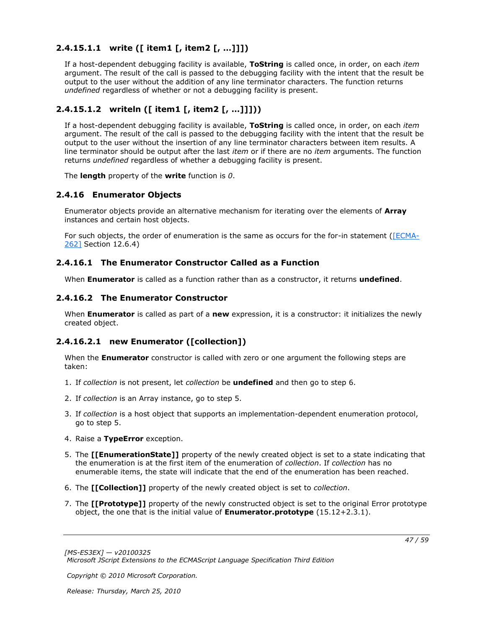## <span id="page-46-0"></span>**2.4.15.1.1 write ([ item1 [, item2 [, …]]])**

<span id="page-46-7"></span>If a host-dependent debugging facility is available, **ToString** is called once, in order, on each *item* argument. The result of the call is passed to the debugging facility with the intent that the result be output to the user without the addition of any line terminator characters. The function returns *undefined* regardless of whether or not a debugging facility is present.

## <span id="page-46-1"></span>**2.4.15.1.2 writeln ([ item1 [, item2 [, …]]]))**

<span id="page-46-8"></span>If a host-dependent debugging facility is available, **ToString** is called once, in order, on each *item* argument. The result of the call is passed to the debugging facility with the intent that the result be output to the user without the insertion of any line terminator characters between item results. A line terminator should be output after the last *item* or if there are no *item* arguments. The function returns *undefined* regardless of whether a debugging facility is present.

<span id="page-46-6"></span>The **length** property of the **write** function is *0*.

## <span id="page-46-2"></span>**2.4.16 Enumerator Objects**

Enumerator objects provide an alternative mechanism for iterating over the elements of **Array** instances and certain host objects.

For such objects, the order of enumeration is the same as occurs for the for-in statement [\(\[ECMA-](http://go.microsoft.com/fwlink/?LinkId=153655)[262\]](http://go.microsoft.com/fwlink/?LinkId=153655) Section 12.6.4)

### <span id="page-46-3"></span>**2.4.16.1 The Enumerator Constructor Called as a Function**

<span id="page-46-9"></span>When **Enumerator** is called as a function rather than as a constructor, it returns **undefined**.

### <span id="page-46-4"></span>**2.4.16.2 The Enumerator Constructor**

When **Enumerator** is called as part of a **new** expression, it is a constructor: it initializes the newly created object.

## <span id="page-46-5"></span>**2.4.16.2.1 new Enumerator ([collection])**

When the **Enumerator** constructor is called with zero or one argument the following steps are taken:

- 1. If *collection* is not present, let *collection* be **undefined** and then go to step 6.
- 2. If *collection* is an Array instance, go to step 5.
- 3. If *collection* is a host object that supports an implementation-dependent enumeration protocol, go to step 5.
- 4. Raise a **TypeError** exception.
- 5. The **[[EnumerationState]]** property of the newly created object is set to a state indicating that the enumeration is at the first item of the enumeration of *collection*. If *collection* has no enumerable items, the state will indicate that the end of the enumeration has been reached.
- 6. The **[[Collection]]** property of the newly created object is set to *collection*.
- 7. The **[[Prototype]]** property of the newly constructed object is set to the original Error prototype object, the one that is the initial value of **Enumerator.prototype** (15.12+2.3.1).

*Copyright © 2010 Microsoft Corporation.*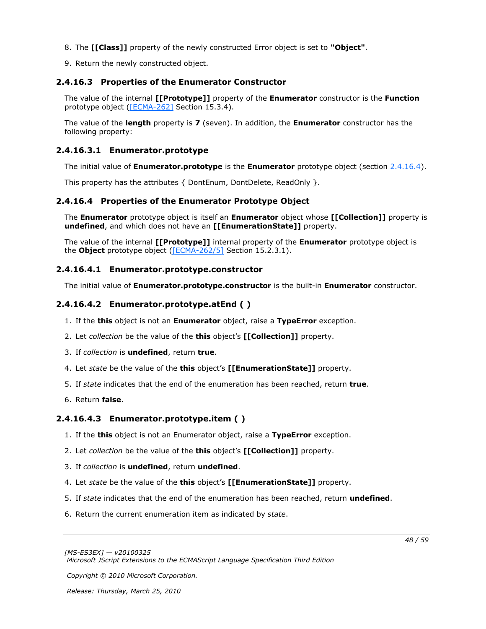- 8. The **[[Class]]** property of the newly constructed Error object is set to **"Object"**.
- <span id="page-47-7"></span>9. Return the newly constructed object.

## <span id="page-47-0"></span>**2.4.16.3 Properties of the Enumerator Constructor**

The value of the internal **[[Prototype]]** property of the **Enumerator** constructor is the **Function** prototype object [\(\[ECMA-262\]](http://go.microsoft.com/fwlink/?LinkId=153655) Section 15.3.4).

The value of the **length** property is **7** (seven). In addition, the **Enumerator** constructor has the following property:

## <span id="page-47-1"></span>**2.4.16.3.1 Enumerator.prototype**

<span id="page-47-8"></span>The initial value of **Enumerator.prototype** is the **Enumerator** prototype object (section [2.4.16.4\)](#page-47-6).

This property has the attributes { DontEnum, DontDelete, ReadOnly }.

## <span id="page-47-2"></span>**2.4.16.4 Properties of the Enumerator Prototype Object**

<span id="page-47-6"></span>The **Enumerator** prototype object is itself an **Enumerator** object whose **[[Collection]]** property is **undefined**, and which does not have an **[[EnumerationState]]** property.

The value of the internal **[[Prototype]]** internal property of the **Enumerator** prototype object is the **Object** prototype object [\(\[ECMA-262/5\]](http://go.microsoft.com/fwlink/?LinkId=185963) Section 15.2.3.1).

## <span id="page-47-3"></span>**2.4.16.4.1 Enumerator.prototype.constructor**

<span id="page-47-10"></span>The initial value of **Enumerator.prototype.constructor** is the built-in **Enumerator** constructor.

## <span id="page-47-4"></span>**2.4.16.4.2 Enumerator.prototype.atEnd ( )**

- <span id="page-47-9"></span>1. If the **this** object is not an **Enumerator** object, raise a **TypeError** exception.
- 2. Let *collection* be the value of the **this** object's **[[Collection]]** property.
- 3. If *collection* is **undefined**, return **true**.
- 4. Let *state* be the value of the **this** object's **[[EnumerationState]]** property.
- 5. If *state* indicates that the end of the enumeration has been reached, return **true**.
- 6. Return **false**.

## <span id="page-47-5"></span>**2.4.16.4.3 Enumerator.prototype.item ( )**

- <span id="page-47-11"></span>1. If the **this** object is not an Enumerator object, raise a **TypeError** exception.
- 2. Let *collection* be the value of the **this** object's **[[Collection]]** property.
- 3. If *collection* is **undefined**, return **undefined**.
- 4. Let *state* be the value of the **this** object's **[[EnumerationState]]** property.
- 5. If *state* indicates that the end of the enumeration has been reached, return **undefined**.
- 6. Return the current enumeration item as indicated by *state*.

*Copyright © 2010 Microsoft Corporation.*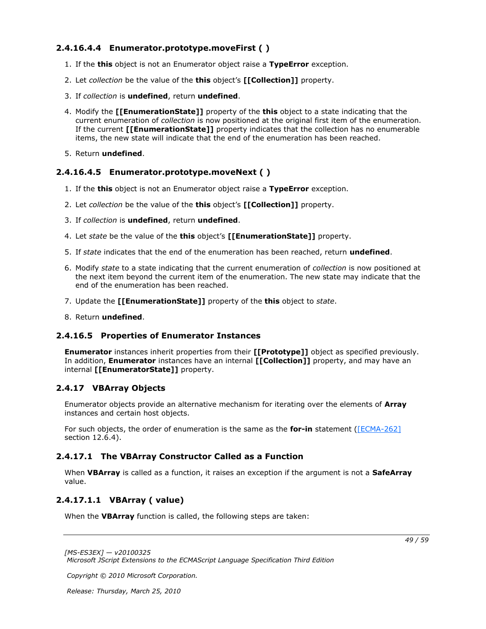## <span id="page-48-0"></span>**2.4.16.4.4 Enumerator.prototype.moveFirst ( )**

- <span id="page-48-8"></span>1. If the **this** object is not an Enumerator object raise a **TypeError** exception.
- 2. Let *collection* be the value of the **this** object's **[[Collection]]** property.
- 3. If *collection* is **undefined**, return **undefined**.
- 4. Modify the **[[EnumerationState]]** property of the **this** object to a state indicating that the current enumeration of *collection* is now positioned at the original first item of the enumeration. If the current **[[EnumerationState]]** property indicates that the collection has no enumerable items, the new state will indicate that the end of the enumeration has been reached.
- 5. Return **undefined**.

### <span id="page-48-1"></span>**2.4.16.4.5 Enumerator.prototype.moveNext ( )**

- <span id="page-48-9"></span>1. If the **this** object is not an Enumerator object raise a **TypeError** exception.
- 2. Let *collection* be the value of the **this** object's **[[Collection]]** property.
- 3. If *collection* is **undefined**, return **undefined**.
- 4. Let *state* be the value of the **this** object's **[[EnumerationState]]** property.
- 5. If *state* indicates that the end of the enumeration has been reached, return **undefined**.
- 6. Modify *state* to a state indicating that the current enumeration of *collection* is now positioned at the next item beyond the current item of the enumeration. The new state may indicate that the end of the enumeration has been reached.
- 7. Update the **[[EnumerationState]]** property of the **this** object to *state*.
- <span id="page-48-7"></span>8. Return **undefined**.

#### <span id="page-48-2"></span>**2.4.16.5 Properties of Enumerator Instances**

**Enumerator** instances inherit properties from their **[[Prototype]]** object as specified previously. In addition, **Enumerator** instances have an internal **[[Collection]]** property, and may have an internal **[[EnumeratorState]]** property.

### <span id="page-48-3"></span>**2.4.17 VBArray Objects**

<span id="page-48-6"></span>Enumerator objects provide an alternative mechanism for iterating over the elements of **Array** instances and certain host objects.

For such objects, the order of enumeration is the same as the **for-in** statement [\(\[ECMA-262\]](http://go.microsoft.com/fwlink/?LinkId=153655) section 12.6.4).

### <span id="page-48-4"></span>**2.4.17.1 The VBArray Constructor Called as a Function**

When **VBArray** is called as a function, it raises an exception if the argument is not a **SafeArray** value.

### <span id="page-48-5"></span>**2.4.17.1.1 VBArray ( value)**

<span id="page-48-10"></span>When the **VBArray** function is called, the following steps are taken:

*[MS-ES3EX] — v20100325 Microsoft JScript Extensions to the ECMAScript Language Specification Third Edition* 

*Copyright © 2010 Microsoft Corporation.*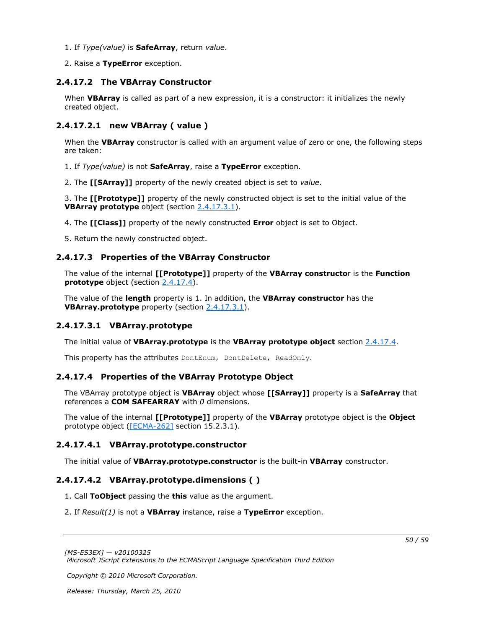- 1. If *Type(value)* is **SafeArray**, return *value*.
- <span id="page-49-10"></span>2. Raise a **TypeError** exception.

## <span id="page-49-0"></span>**2.4.17.2 The VBArray Constructor**

When **VBArray** is called as part of a new expression, it is a constructor: it initializes the newly created object.

## <span id="page-49-1"></span>**2.4.17.2.1 new VBArray ( value )**

<span id="page-49-9"></span>When the **VBArray** constructor is called with an argument value of zero or one, the following steps are taken:

- 1. If *Type(value)* is not **SafeArray**, raise a **TypeError** exception.
- 2. The **[[SArray]]** property of the newly created object is set to *value*.

3. The **[[Prototype]]** property of the newly constructed object is set to the initial value of the **VBArray prototype** object (section [2.4.17.3.1\)](#page-49-7).

- 4. The **[[Class]]** property of the newly constructed **Error** object is set to Object.
- <span id="page-49-11"></span>5. Return the newly constructed object.

## <span id="page-49-2"></span>**2.4.17.3 Properties of the VBArray Constructor**

The value of the internal **[[Prototype]]** property of the **VBArray constructo**r is the **Function prototype** object (section [2.4.17.4\)](#page-49-8).

The value of the **length** property is 1. In addition, the **VBArray constructor** has the **VBArray.prototype** property (section [2.4.17.3.1\)](#page-49-7).

## <span id="page-49-3"></span>**2.4.17.3.1 VBArray.prototype**

<span id="page-49-7"></span>The initial value of **VBArray.prototype** is the **VBArray prototype object** section [2.4.17.4.](#page-49-8)

<span id="page-49-8"></span>This property has the attributes DontEnum, DontDelete, ReadOnly.

## <span id="page-49-4"></span>**2.4.17.4 Properties of the VBArray Prototype Object**

The VBArray prototype object is **VBArray** object whose **[[SArray]]** property is a **SafeArray** that references a **COM SAFEARRAY** with *0* dimensions.

The value of the internal **[[Prototype]]** property of the **VBArray** prototype object is the **Object** prototype object [\(\[ECMA-262\]](http://go.microsoft.com/fwlink/?LinkId=153655) section 15.2.3.1).

## <span id="page-49-5"></span>**2.4.17.4.1 VBArray.prototype.constructor**

<span id="page-49-13"></span><span id="page-49-12"></span>The initial value of **VBArray.prototype.constructor** is the built-in **VBArray** constructor.

## <span id="page-49-6"></span>**2.4.17.4.2 VBArray.prototype.dimensions ( )**

- 1. Call **ToObject** passing the **this** value as the argument.
- 2. If *Result(1)* is not a **VBArray** instance, raise a **TypeError** exception.

*Copyright © 2010 Microsoft Corporation.* 

*<sup>[</sup>MS-ES3EX] — v20100325 Microsoft JScript Extensions to the ECMAScript Language Specification Third Edition*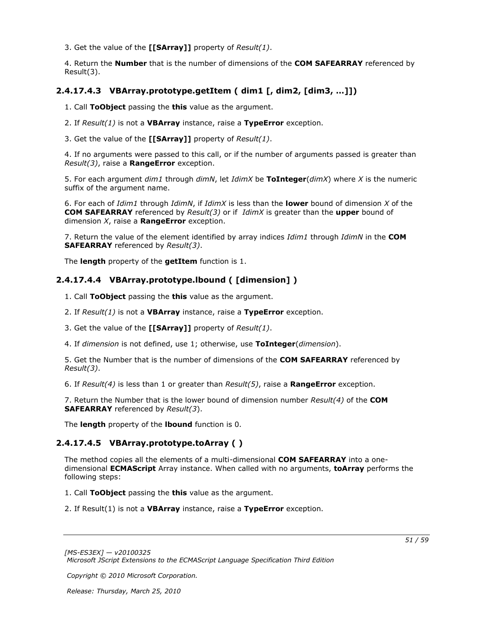3. Get the value of the **[[SArray]]** property of *Result(1)*.

4. Return the **Number** that is the number of dimensions of the **COM SAFEARRAY** referenced by Result(3).

### <span id="page-50-0"></span>**2.4.17.4.3 VBArray.prototype.getItem ( dim1 [, dim2, [dim3, …]])**

<span id="page-50-3"></span>1. Call **ToObject** passing the **this** value as the argument.

2. If *Result(1)* is not a **VBArray** instance, raise a **TypeError** exception.

3. Get the value of the **[[SArray]]** property of *Result(1)*.

4. If no arguments were passed to this call, or if the number of arguments passed is greater than *Result(3)*, raise a **RangeError** exception.

5. For each argument *dim1* through *dimN*, let *IdimX* be **ToInteger**(*dimX*) where *X* is the numeric suffix of the argument name.

6. For each of *Idim1* through *IdimN*, if *IdimX* is less than the **lower** bound of dimension *X* of the **COM SAFEARRAY** referenced by *Result(3)* or if *IdimX* is greater than the **upper** bound of dimension *X*, raise a **RangeError** exception.

7. Return the value of the element identified by array indices *Idim1* through *IdimN* in the **COM SAFEARRAY** referenced by *Result(3)*.

The **length** property of the **getItem** function is 1.

### <span id="page-50-1"></span>**2.4.17.4.4 VBArray.prototype.lbound ( [dimension] )**

<span id="page-50-4"></span>1. Call **ToObject** passing the **this** value as the argument.

2. If *Result(1)* is not a **VBArray** instance, raise a **TypeError** exception.

3. Get the value of the **[[SArray]]** property of *Result(1)*.

4. If *dimension* is not defined, use 1; otherwise, use **ToInteger**(*dimension*).

5. Get the Number that is the number of dimensions of the **COM SAFEARRAY** referenced by *Result(3)*.

6. If *Result(4)* is less than 1 or greater than *Result(5)*, raise a **RangeError** exception.

7. Return the Number that is the lower bound of dimension number *Result(4)* of the **COM SAFEARRAY** referenced by *Result(3*).

<span id="page-50-5"></span>The **length** property of the **lbound** function is 0.

## <span id="page-50-2"></span>**2.4.17.4.5 VBArray.prototype.toArray ( )**

The method copies all the elements of a multi-dimensional **COM SAFEARRAY** into a onedimensional **ECMAScript** Array instance. When called with no arguments, **toArray** performs the following steps:

1. Call **ToObject** passing the **this** value as the argument.

2. If Result(1) is not a **VBArray** instance, raise a **TypeError** exception.

*Copyright © 2010 Microsoft Corporation.*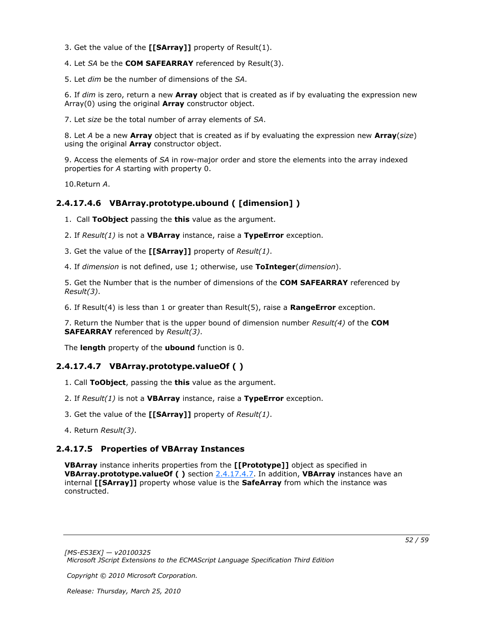3. Get the value of the **[[SArray]]** property of Result(1).

4. Let *SA* be the **COM SAFEARRAY** referenced by Result(3).

5. Let *dim* be the number of dimensions of the *SA*.

6. If *dim* is zero, return a new **Array** object that is created as if by evaluating the expression new Array(0) using the original **Array** constructor object.

7. Let *size* be the total number of array elements of *SA*.

8. Let *A* be a new **Array** object that is created as if by evaluating the expression new **Array**(*size*) using the original **Array** constructor object.

9. Access the elements of *SA* in row-major order and store the elements into the array indexed properties for *A* starting with property 0.

<span id="page-51-5"></span>10.Return *A*.

## <span id="page-51-0"></span>**2.4.17.4.6 VBArray.prototype.ubound ( [dimension] )**

1. Call **ToObject** passing the **this** value as the argument.

2. If *Result(1)* is not a **VBArray** instance, raise a **TypeError** exception.

3. Get the value of the **[[SArray]]** property of *Result(1)*.

4. If *dimension* is not defined, use 1; otherwise, use **ToInteger**(*dimension*).

5. Get the Number that is the number of dimensions of the **COM SAFEARRAY** referenced by *Result(3)*.

6. If Result(4) is less than 1 or greater than Result(5), raise a **RangeError** exception.

7. Return the Number that is the upper bound of dimension number *Result(4)* of the **COM SAFEARRAY** referenced by *Result(3)*.

The **length** property of the **ubound** function is 0.

## <span id="page-51-1"></span>**2.4.17.4.7 VBArray.prototype.valueOf ( )**

- <span id="page-51-3"></span>1. Call **ToObject**, passing the **this** value as the argument.
- 2. If *Result(1)* is not a **VBArray** instance, raise a **TypeError** exception.
- 3. Get the value of the **[[SArray]]** property of *Result(1)*.
- <span id="page-51-4"></span>4. Return *Result(3)*.

### <span id="page-51-2"></span>**2.4.17.5 Properties of VBArray Instances**

**VBArray** instance inherits properties from the **[[Prototype]]** object as specified in **VBArray.prototype.valueOf ( )** section [2.4.17.4.7.](#page-51-3) In addition, **VBArray** instances have an internal **[[SArray]]** property whose value is the **SafeArray** from which the instance was constructed.

*Copyright © 2010 Microsoft Corporation.*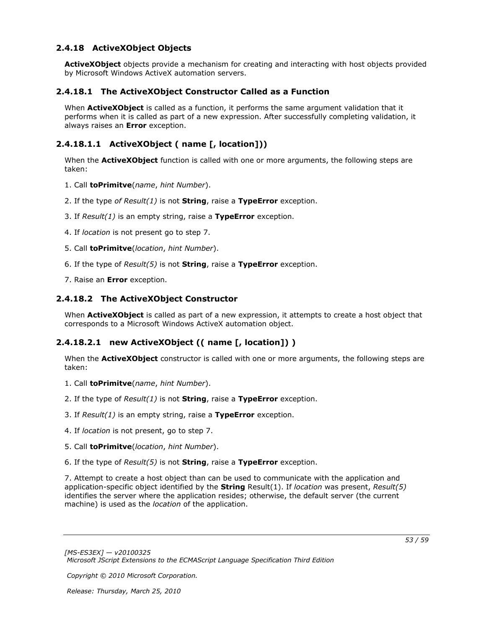## <span id="page-52-0"></span>**2.4.18 ActiveXObject Objects**

<span id="page-52-5"></span>**ActiveXObject** objects provide a mechanism for creating and interacting with host objects provided by Microsoft Windows ActiveX automation servers.

### <span id="page-52-1"></span>**2.4.18.1 The ActiveXObject Constructor Called as a Function**

When **ActiveXObject** is called as a function, it performs the same argument validation that it performs when it is called as part of a new expression. After successfully completing validation, it always raises an **Error** exception.

## <span id="page-52-2"></span>**2.4.18.1.1 ActiveXObject ( name [, location]))**

<span id="page-52-8"></span>When the **ActiveXObject** function is called with one or more arguments, the following steps are taken:

- 1. Call **toPrimitve**(*name*, *hint Number*).
- 2. If the type *of Result(1)* is not **String**, raise a **TypeError** exception.
- 3. If *Result(1)* is an empty string, raise a **TypeError** exception.
- 4. If *location* is not present go to step 7.
- 5. Call **toPrimitve**(*location*, *hint Number*).
- 6. If the type of *Result(5)* is not **String**, raise a **TypeError** exception.
- <span id="page-52-7"></span>7. Raise an **Error** exception.

### <span id="page-52-3"></span>**2.4.18.2 The ActiveXObject Constructor**

<span id="page-52-6"></span>When **ActiveXObject** is called as part of a new expression, it attempts to create a host object that corresponds to a Microsoft Windows ActiveX automation object.

## <span id="page-52-4"></span>**2.4.18.2.1 new ActiveXObject (( name [, location]) )**

When the **ActiveXObject** constructor is called with one or more arguments, the following steps are taken:

- 1. Call **toPrimitve**(*name*, *hint Number*).
- 2. If the type of *Result(1)* is not **String**, raise a **TypeError** exception.
- 3. If *Result(1)* is an empty string, raise a **TypeError** exception.
- 4. If *location* is not present, go to step 7.
- 5. Call **toPrimitve**(*location*, *hint Number*).
- 6. If the type of *Result(5)* is not **String**, raise a **TypeError** exception.

7. Attempt to create a host object than can be used to communicate with the application and application-specific object identified by the **String** Result(1). If *location* was present, *Result(5)* identifies the server where the application resides; otherwise, the default server (the current machine) is used as the *location* of the application.

*Copyright © 2010 Microsoft Corporation.*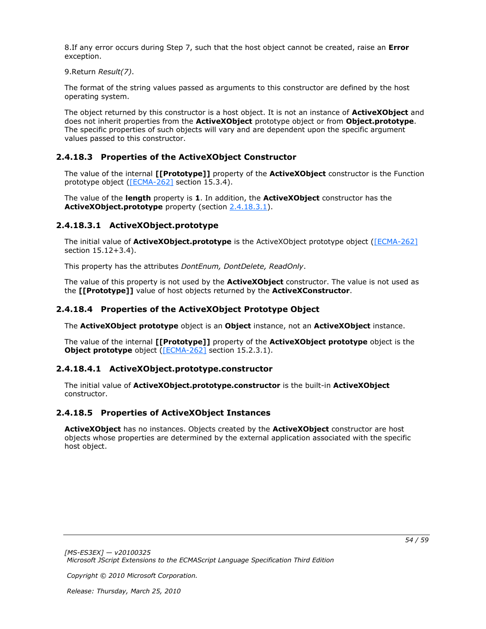8.If any error occurs during Step 7, such that the host object cannot be created, raise an **Error** exception.

9.Return *Result(7)*.

The format of the string values passed as arguments to this constructor are defined by the host operating system.

The object returned by this constructor is a host object. It is not an instance of **ActiveXObject** and does not inherit properties from the **ActiveXObject** prototype object or from **Object.prototype**. The specific properties of such objects will vary and are dependent upon the specific argument values passed to this constructor.

## <span id="page-53-0"></span>**2.4.18.3 Properties of the ActiveXObject Constructor**

<span id="page-53-6"></span>The value of the internal **[[Prototype]]** property of the **ActiveXObject** constructor is the Function prototype object [\(\[ECMA-262\]](http://go.microsoft.com/fwlink/?LinkId=153655) section 15.3.4).

The value of the **length** property is **1**. In addition, the **ActiveXObject** constructor has the **ActiveXObject.prototype** property (section [2.4.18.3.1\)](#page-53-5).

## <span id="page-53-1"></span>**2.4.18.3.1 ActiveXObject.prototype**

<span id="page-53-5"></span>The initial value of **ActiveXObject.prototype** is the ActiveXObject prototype object [\(\[ECMA-262\]](http://go.microsoft.com/fwlink/?LinkId=153655) section 15.12+3.4).

This property has the attributes *DontEnum, DontDelete, ReadOnly*.

The value of this property is not used by the **ActiveXObject** constructor. The value is not used as the **[[Prototype]]** value of host objects returned by the **ActiveXConstructor**.

### <span id="page-53-2"></span>**2.4.18.4 Properties of the ActiveXObject Prototype Object**

<span id="page-53-8"></span>The **ActiveXObject prototype** object is an **Object** instance, not an **ActiveXObject** instance.

The value of the internal **[[Prototype]]** property of the **ActiveXObject prototype** object is the **Object prototype** object [\(\[ECMA-262\]](http://go.microsoft.com/fwlink/?LinkId=153655) section 15.2.3.1).

## <span id="page-53-3"></span>**2.4.18.4.1 ActiveXObject.prototype.constructor**

<span id="page-53-9"></span>The initial value of **ActiveXObject.prototype.constructor** is the built-in **ActiveXObject** constructor.

## <span id="page-53-4"></span>**2.4.18.5 Properties of ActiveXObject Instances**

<span id="page-53-7"></span>**ActiveXObject** has no instances. Objects created by the **ActiveXObject** constructor are host objects whose properties are determined by the external application associated with the specific host object.

*Copyright © 2010 Microsoft Corporation.*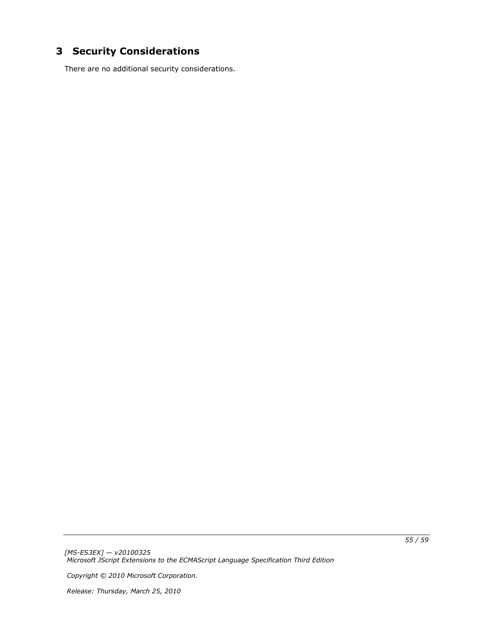# <span id="page-54-0"></span>**3 Security Considerations**

<span id="page-54-1"></span>There are no additional security considerations.

*[MS-ES3EX] — v20100325 Microsoft JScript Extensions to the ECMAScript Language Specification Third Edition* 

*Copyright © 2010 Microsoft Corporation.*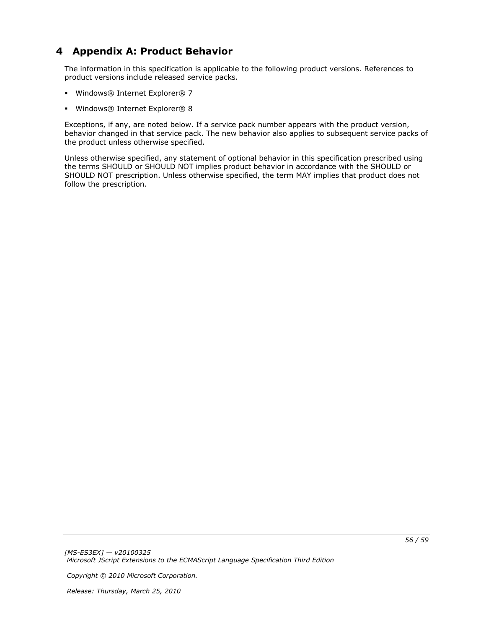# <span id="page-55-0"></span>**4 Appendix A: Product Behavior**

<span id="page-55-1"></span>The information in this specification is applicable to the following product versions. References to product versions include released service packs.

- Windows® Internet Explorer® 7
- Windows® Internet Explorer® 8

Exceptions, if any, are noted below. If a service pack number appears with the product version, behavior changed in that service pack. The new behavior also applies to subsequent service packs of the product unless otherwise specified.

Unless otherwise specified, any statement of optional behavior in this specification prescribed using the terms SHOULD or SHOULD NOT implies product behavior in accordance with the SHOULD or SHOULD NOT prescription. Unless otherwise specified, the term MAY implies that product does not follow the prescription.

*Copyright © 2010 Microsoft Corporation.*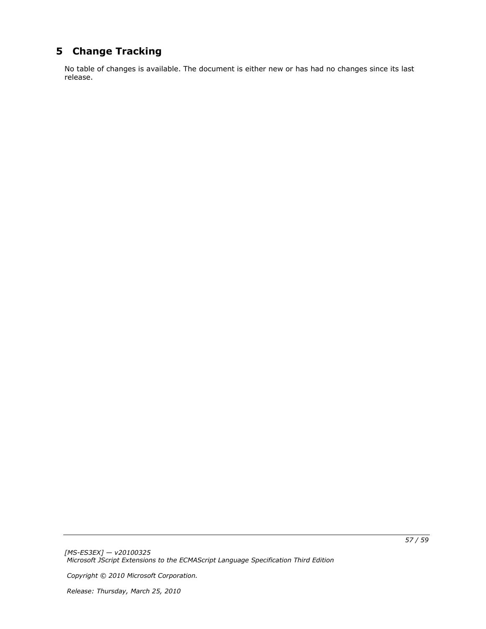# <span id="page-56-0"></span>**5 Change Tracking**

<span id="page-56-1"></span>No table of changes is available. The document is either new or has had no changes since its last release.

*Copyright © 2010 Microsoft Corporation.*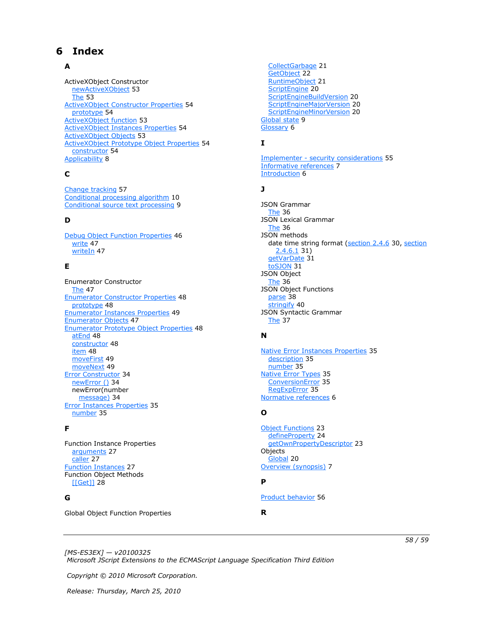# <span id="page-57-0"></span>**6 Index**

### **A**

ActiveXObject Constructor [newActiveXObject](#page-52-6) 53 [The](#page-52-7) 53 [ActiveXObject Constructor Properties](#page-53-6) 54 [prototype](#page-53-5) 54 **[ActiveXObject function](#page-52-8) 53** [ActiveXObject Instances Properties](#page-53-7) 54 **[ActiveXObject Objects](#page-52-5) 53** [ActiveXObject Prototype Object Properties](#page-53-8) 54 [constructor](#page-53-9) 54 [Applicability](#page-7-3) 8

## **C**

[Change tracking](#page-56-1) 57 [Conditional processing algorithm](#page-9-1) 10 [Conditional source text processing](#page-8-3) 9

### **D**

[Debug Object Function Properties](#page-45-3) 46 [write](#page-46-7) 47 [writeIn](#page-46-8) 47

## **E**

Enumerator Constructor [The](#page-46-9) 47 **[Enumerator Constructor Properties](#page-47-7) 48** [prototype](#page-47-8) 48 [Enumerator Instances Properties](#page-48-7) 49 [Enumerator Objects](#page-46-6) 47 [Enumerator Prototype Object Properties](#page-47-6) 48 [atEnd](#page-47-9) 48 [constructor](#page-47-10) 48 [item](#page-47-11) 48 [moveFirst](#page-48-8) 49 [moveNext](#page-48-9) 49 [Error Constructor](#page-33-6) 34 [newError \(\)](#page-33-8) 34 newError(number [message\)](#page-33-9) 34 [Error Instances](#page-34-9) Properties 35 [number](#page-34-14) 35

#### **F**

Function Instance Properties [arguments](#page-26-4) 27 [caller](#page-26-5) 27 [Function Instances](#page-26-3) 27 Function Object Methods [\[\[Get\]\]](#page-27-3) 28

### **G**

Global Object Function Properties

[CollectGarbage](#page-20-2) 21 [GetObject](#page-21-1) 22 [RuntimeObject](#page-20-3) 21 [ScriptEngine](#page-19-9) 20 [ScriptEngineBuildVersion](#page-19-10) 20 [ScriptEngineMajorVersion](#page-19-11) 20 [ScriptEngineMinorVersion](#page-19-12) 20 [Global state](#page-8-4) 9 [Glossary](#page-5-4) 6

## **I**

Implementer - [security considerations](#page-54-1) 55 [Informative references](#page-6-2) 7 [Introduction](#page-5-5) 6

### **J**

JSON Grammar [The](#page-35-4) 36 JSON Lexical Grammar [The](#page-35-5) 36 JSON methods date time string format [\(section 2.4.6](#page-29-3) 30, section [2.4.6.1](#page-30-6) 31) [getVarDate](#page-30-7) 31 [toSJON](#page-30-8) 31 JSON Object [The](#page-35-3) 36 JSON Object Functions [parse](#page-37-1) 38 [stringify](#page-39-1) 40 JSON Syntactic Grammar [The](#page-36-1) 37

#### **N**

[Native Error Instances Properties](#page-34-11) 35 [description](#page-34-15) 35 [number](#page-34-16) 35 [Native Error Types](#page-34-10) 35 [ConversionError](#page-34-13) 35 [RegExpError](#page-34-12) 35 [Normative references](#page-5-6) 6

#### **O**

[Object Functions](#page-22-4) 23 [defineProperty](#page-23-1) 24 [getOwnPropertyDescriptor](#page-22-5) 23 Objects [Global](#page-19-8) 20 [Overview \(synopsis\)](#page-6-3) 7

### **P**

[Product behavior](#page-55-1) 56

#### **R**

*[MS-ES3EX] — v20100325 Microsoft JScript Extensions to the ECMAScript Language Specification Third Edition* 

*Copyright © 2010 Microsoft Corporation.*